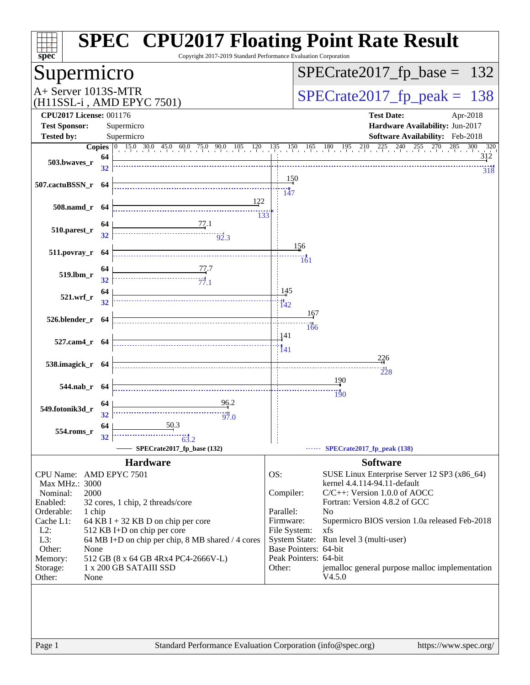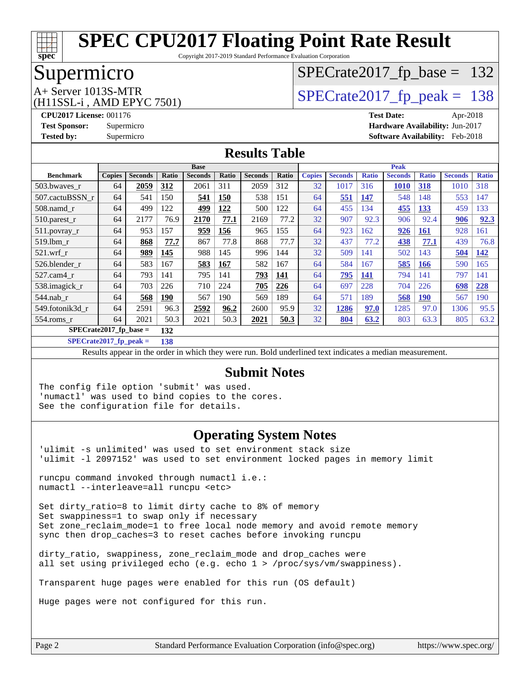

Copyright 2017-2019 Standard Performance Evaluation Corporation

### Supermicro

### [SPECrate2017\\_fp\\_base =](http://www.spec.org/auto/cpu2017/Docs/result-fields.html#SPECrate2017fpbase) 132

(H11SSL-i , AMD EPYC 7501)

 $A+$  Server 1013S-MTR<br>  $\langle H11$ SSL  $\cdot$  AMD FPYC 7501) [SPECrate2017\\_fp\\_peak =](http://www.spec.org/auto/cpu2017/Docs/result-fields.html#SPECrate2017fppeak) 138

**[CPU2017 License:](http://www.spec.org/auto/cpu2017/Docs/result-fields.html#CPU2017License)** 001176 **[Test Date:](http://www.spec.org/auto/cpu2017/Docs/result-fields.html#TestDate)** Apr-2018 **[Test Sponsor:](http://www.spec.org/auto/cpu2017/Docs/result-fields.html#TestSponsor)** Supermicro **[Hardware Availability:](http://www.spec.org/auto/cpu2017/Docs/result-fields.html#HardwareAvailability)** Jun-2017 **[Tested by:](http://www.spec.org/auto/cpu2017/Docs/result-fields.html#Testedby)** Supermicro **[Software Availability:](http://www.spec.org/auto/cpu2017/Docs/result-fields.html#SoftwareAvailability)** Feb-2018

#### **[Results Table](http://www.spec.org/auto/cpu2017/Docs/result-fields.html#ResultsTable)**

|                                 | <b>Base</b>   |                |            |                | <b>Peak</b> |                |       |               |                |              |                |              |                |              |
|---------------------------------|---------------|----------------|------------|----------------|-------------|----------------|-------|---------------|----------------|--------------|----------------|--------------|----------------|--------------|
| <b>Benchmark</b>                | <b>Copies</b> | <b>Seconds</b> | Ratio      | <b>Seconds</b> | Ratio       | <b>Seconds</b> | Ratio | <b>Copies</b> | <b>Seconds</b> | <b>Ratio</b> | <b>Seconds</b> | <b>Ratio</b> | <b>Seconds</b> | <b>Ratio</b> |
| 503.bwayes r                    | 64            | 2059           | 312        | 2061           | 311         | 2059           | 312   | 32            | 1017           | 316          | 1010           | 318          | 1010           | 318          |
| 507.cactuBSSN r                 | 64            | 541            | 150        | 541            | <b>150</b>  | 538            | 151   | 64            | 551            | 147          | 548            | 148          | 553            | 147          |
| $508$ .namd $r$                 | 64            | 499            | 122        | 499            | 122         | 500            | 122   | 64            | 455            | 134          | 455            | 133          | 459            | 133          |
| 510.parest_r                    | 64            | 2177           | 76.9       | 2170           | 77.1        | 2169           | 77.2  | 32            | 907            | 92.3         | 906            | 92.4         | 906            | 92.3         |
| $511.$ povray_r                 | 64            | 953            | 157        | 959            | <b>156</b>  | 965            | 155   | 64            | 923            | 162          | 926            | <u>161</u>   | 928            | 161          |
| $519$ .lbm $r$                  | 64            | 868            | 77.7       | 867            | 77.8        | 868            | 77.7  | 32            | 437            | 77.2         | 438            | 77.1         | 439            | 76.8         |
| $521$ .wrf r                    | 64            | 989            | 145        | 988            | 145         | 996            | 144   | 32            | 509            | 141          | 502            | 143          | 504            | 142          |
| 526.blender r                   | 64            | 583            | 167        | 583            | 167         | 582            | 167   | 64            | 584            | 167          | 585            | <b>166</b>   | 590            | 165          |
| 527.cam4_r                      | 64            | 793            | 141        | 795            | 141         | 793            | 141   | 64            | <u>795</u>     | <u>141</u>   | 794            | 141          | 797            | 141          |
| 538.imagick_r                   | 64            | 703            | 226        | 710            | 224         | 705            | 226   | 64            | 697            | 228          | 704            | 226          | 698            | 228          |
| $544$ .nab r                    | 64            | 568            | <b>190</b> | 567            | 190         | 569            | 189   | 64            | 571            | 189          | 568            | <b>190</b>   | 567            | 190          |
| 549.fotonik3d r                 | 64            | 2591           | 96.3       | 2592           | 96.2        | 2600           | 95.9  | 32            | 1286           | 97.0         | 1285           | 97.0         | 1306           | 95.5         |
| $554$ .roms r                   | 64            | 2021           | 50.3       | 2021           | 50.3        | 2021           | 50.3  | 32            | 804            | 63.2         | 803            | 63.3         | 805            | 63.2         |
| $SPECrate2017$ fp base =<br>132 |               |                |            |                |             |                |       |               |                |              |                |              |                |              |

**[SPECrate2017\\_fp\\_peak =](http://www.spec.org/auto/cpu2017/Docs/result-fields.html#SPECrate2017fppeak) 138**

Results appear in the [order in which they were run.](http://www.spec.org/auto/cpu2017/Docs/result-fields.html#RunOrder) Bold underlined text [indicates a median measurement.](http://www.spec.org/auto/cpu2017/Docs/result-fields.html#Median)

#### **[Submit Notes](http://www.spec.org/auto/cpu2017/Docs/result-fields.html#SubmitNotes)**

The config file option 'submit' was used. 'numactl' was used to bind copies to the cores. See the configuration file for details.

#### **[Operating System Notes](http://www.spec.org/auto/cpu2017/Docs/result-fields.html#OperatingSystemNotes)**

'ulimit -s unlimited' was used to set environment stack size 'ulimit -l 2097152' was used to set environment locked pages in memory limit

runcpu command invoked through numactl i.e.: numactl --interleave=all runcpu <etc>

Set dirty ratio=8 to limit dirty cache to 8% of memory Set swappiness=1 to swap only if necessary Set zone\_reclaim\_mode=1 to free local node memory and avoid remote memory sync then drop\_caches=3 to reset caches before invoking runcpu

dirty\_ratio, swappiness, zone\_reclaim\_mode and drop\_caches were all set using privileged echo (e.g. echo 1 > /proc/sys/vm/swappiness).

Transparent huge pages were enabled for this run (OS default)

Huge pages were not configured for this run.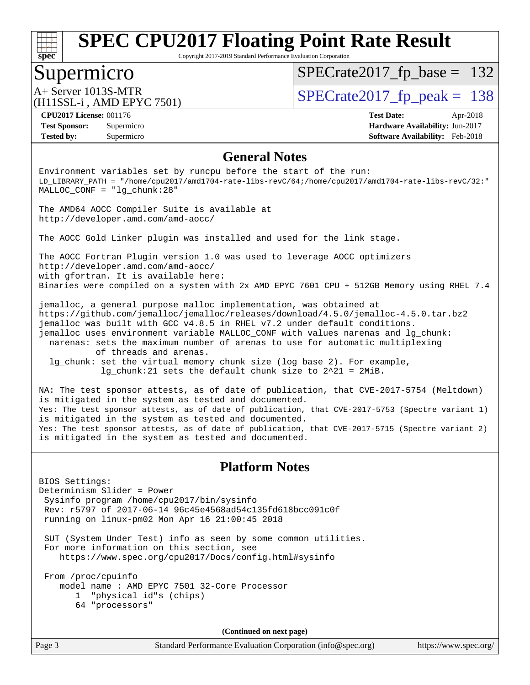

Copyright 2017-2019 Standard Performance Evaluation Corporation

### Supermicro

 $SPECTate2017_fp\_base = 132$ 

(H11SSL-i , AMD EPYC 7501)

A+ Server 1013S-MTR<br>  $\alpha$ H11ser 3. AMD EDVC 7501)

**[Tested by:](http://www.spec.org/auto/cpu2017/Docs/result-fields.html#Testedby)** Supermicro **[Software Availability:](http://www.spec.org/auto/cpu2017/Docs/result-fields.html#SoftwareAvailability)** Feb-2018

**[CPU2017 License:](http://www.spec.org/auto/cpu2017/Docs/result-fields.html#CPU2017License)** 001176 **[Test Date:](http://www.spec.org/auto/cpu2017/Docs/result-fields.html#TestDate)** Apr-2018 **[Test Sponsor:](http://www.spec.org/auto/cpu2017/Docs/result-fields.html#TestSponsor)** Supermicro **[Hardware Availability:](http://www.spec.org/auto/cpu2017/Docs/result-fields.html#HardwareAvailability)** Jun-2017

#### **[General Notes](http://www.spec.org/auto/cpu2017/Docs/result-fields.html#GeneralNotes)**

Environment variables set by runcpu before the start of the run: LD\_LIBRARY\_PATH = "/home/cpu2017/amd1704-rate-libs-revC/64;/home/cpu2017/amd1704-rate-libs-revC/32:" MALLOC\_CONF = "lg\_chunk:28"

The AMD64 AOCC Compiler Suite is available at <http://developer.amd.com/amd-aocc/>

The AOCC Gold Linker plugin was installed and used for the link stage.

The AOCC Fortran Plugin version 1.0 was used to leverage AOCC optimizers <http://developer.amd.com/amd-aocc/> with gfortran. It is available here: Binaries were compiled on a system with 2x AMD EPYC 7601 CPU + 512GB Memory using RHEL 7.4

jemalloc, a general purpose malloc implementation, was obtained at <https://github.com/jemalloc/jemalloc/releases/download/4.5.0/jemalloc-4.5.0.tar.bz2> jemalloc was built with GCC v4.8.5 in RHEL v7.2 under default conditions. jemalloc uses environment variable MALLOC\_CONF with values narenas and lg\_chunk: narenas: sets the maximum number of arenas to use for automatic multiplexing of threads and arenas. lg\_chunk: set the virtual memory chunk size (log base 2). For example,

lg\_chunk:21 sets the default chunk size to 2^21 = 2MiB.

NA: The test sponsor attests, as of date of publication, that CVE-2017-5754 (Meltdown) is mitigated in the system as tested and documented. Yes: The test sponsor attests, as of date of publication, that CVE-2017-5753 (Spectre variant 1) is mitigated in the system as tested and documented. Yes: The test sponsor attests, as of date of publication, that CVE-2017-5715 (Spectre variant 2) is mitigated in the system as tested and documented.

#### **[Platform Notes](http://www.spec.org/auto/cpu2017/Docs/result-fields.html#PlatformNotes)**

BIOS Settings: Determinism Slider = Power Sysinfo program /home/cpu2017/bin/sysinfo Rev: r5797 of 2017-06-14 96c45e4568ad54c135fd618bcc091c0f running on linux-pm02 Mon Apr 16 21:00:45 2018

 SUT (System Under Test) info as seen by some common utilities. For more information on this section, see <https://www.spec.org/cpu2017/Docs/config.html#sysinfo>

 From /proc/cpuinfo model name : AMD EPYC 7501 32-Core Processor 1 "physical id"s (chips) 64 "processors"

**(Continued on next page)**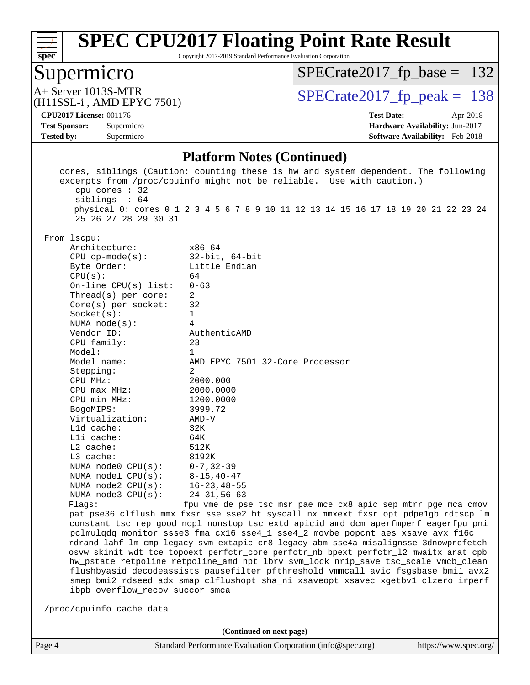

Copyright 2017-2019 Standard Performance Evaluation Corporation

### Supermicro

[SPECrate2017\\_fp\\_base =](http://www.spec.org/auto/cpu2017/Docs/result-fields.html#SPECrate2017fpbase) 132

(H11SSL-i , AMD EPYC 7501)

A+ Server 1013S-MTR<br>
(H11SSL-i AMD EPYC 7501) [SPECrate2017\\_fp\\_peak =](http://www.spec.org/auto/cpu2017/Docs/result-fields.html#SPECrate2017fppeak) 138

**[Tested by:](http://www.spec.org/auto/cpu2017/Docs/result-fields.html#Testedby)** Supermicro **[Software Availability:](http://www.spec.org/auto/cpu2017/Docs/result-fields.html#SoftwareAvailability)** Feb-2018

**[CPU2017 License:](http://www.spec.org/auto/cpu2017/Docs/result-fields.html#CPU2017License)** 001176 **[Test Date:](http://www.spec.org/auto/cpu2017/Docs/result-fields.html#TestDate)** Apr-2018 **[Test Sponsor:](http://www.spec.org/auto/cpu2017/Docs/result-fields.html#TestSponsor)** Supermicro **[Hardware Availability:](http://www.spec.org/auto/cpu2017/Docs/result-fields.html#HardwareAvailability)** Jun-2017

#### **[Platform Notes \(Continued\)](http://www.spec.org/auto/cpu2017/Docs/result-fields.html#PlatformNotes)**

| cpu cores $: 32$                                                                                                                                                                                                                                                                                                                                                                                 | cores, siblings (Caution: counting these is hw and system dependent. The following<br>excerpts from /proc/cpuinfo might not be reliable. Use with caution.)                                                                                                                                                                                                                                                                                                                                                                                                                                                                                                                                                                                                                  |
|--------------------------------------------------------------------------------------------------------------------------------------------------------------------------------------------------------------------------------------------------------------------------------------------------------------------------------------------------------------------------------------------------|------------------------------------------------------------------------------------------------------------------------------------------------------------------------------------------------------------------------------------------------------------------------------------------------------------------------------------------------------------------------------------------------------------------------------------------------------------------------------------------------------------------------------------------------------------------------------------------------------------------------------------------------------------------------------------------------------------------------------------------------------------------------------|
| siblings : 64<br>25 26 27 28 29 30 31                                                                                                                                                                                                                                                                                                                                                            | physical 0: cores 0 1 2 3 4 5 6 7 8 9 10 11 12 13 14 15 16 17 18 19 20 21 22 23 24                                                                                                                                                                                                                                                                                                                                                                                                                                                                                                                                                                                                                                                                                           |
| From 1scpu:<br>Architecture:<br>$CPU$ op-mode( $s$ ):<br>Byte Order:<br>CPU(s):<br>On-line CPU(s) list:<br>Thread(s) per core:<br>Core(s) per socket:<br>Socket(s):<br>NUMA $node(s):$<br>Vendor ID:<br>CPU family:<br>Model:<br>Model name:<br>Stepping:<br>CPU MHz:<br>$CPU$ max $MHz$ :<br>CPU min MHz:<br>BogoMIPS:<br>Virtualization:<br>Lld cache:<br>Lli cache:<br>L2 cache:<br>L3 cache: | x86 64<br>$32$ -bit, $64$ -bit<br>Little Endian<br>64<br>$0 - 63$<br>2<br>32<br>1<br>4<br>AuthenticAMD<br>23<br>$\mathbf 1$<br>AMD EPYC 7501 32-Core Processor<br>2<br>2000.000<br>2000.0000<br>1200.0000<br>3999.72<br>$AMD-V$<br>32K<br>64K<br>512K<br>8192K                                                                                                                                                                                                                                                                                                                                                                                                                                                                                                               |
| NUMA node0 CPU(s):<br>NUMA nodel $CPU(s):$<br>NUMA node2 CPU(s):<br>NUMA node3 CPU(s):                                                                                                                                                                                                                                                                                                           | $0 - 7, 32 - 39$<br>$8 - 15, 40 - 47$<br>$16 - 23, 48 - 55$<br>$24 - 31, 56 - 63$                                                                                                                                                                                                                                                                                                                                                                                                                                                                                                                                                                                                                                                                                            |
| Flags:<br>ibpb overflow_recov succor smca<br>/proc/cpuinfo cache data                                                                                                                                                                                                                                                                                                                            | fpu vme de pse tsc msr pae mce cx8 apic sep mtrr pge mca cmov<br>pat pse36 clflush mmx fxsr sse sse2 ht syscall nx mmxext fxsr_opt pdpe1gb rdtscp lm<br>constant_tsc rep_good nopl nonstop_tsc extd_apicid amd_dcm aperfmperf eagerfpu pni<br>pclmulqdq monitor ssse3 fma cx16 sse4_1 sse4_2 movbe popcnt aes xsave avx f16c<br>rdrand lahf_lm cmp_legacy svm extapic cr8_legacy abm sse4a misalignsse 3dnowprefetch<br>osvw skinit wdt tce topoext perfctr_core perfctr_nb bpext perfctr_12 mwaitx arat cpb<br>hw_pstate retpoline retpoline_amd npt lbrv svm_lock nrip_save tsc_scale vmcb_clean<br>flushbyasid decodeassists pausefilter pfthreshold vmmcall avic fsgsbase bmil avx2<br>smep bmi2 rdseed adx smap clflushopt sha_ni xsaveopt xsavec xgetbvl clzero irperf |
|                                                                                                                                                                                                                                                                                                                                                                                                  | (Continued on next page)                                                                                                                                                                                                                                                                                                                                                                                                                                                                                                                                                                                                                                                                                                                                                     |
| Page 4                                                                                                                                                                                                                                                                                                                                                                                           | Standard Performance Evaluation Corporation (info@spec.org)<br>https://www.spec.org/                                                                                                                                                                                                                                                                                                                                                                                                                                                                                                                                                                                                                                                                                         |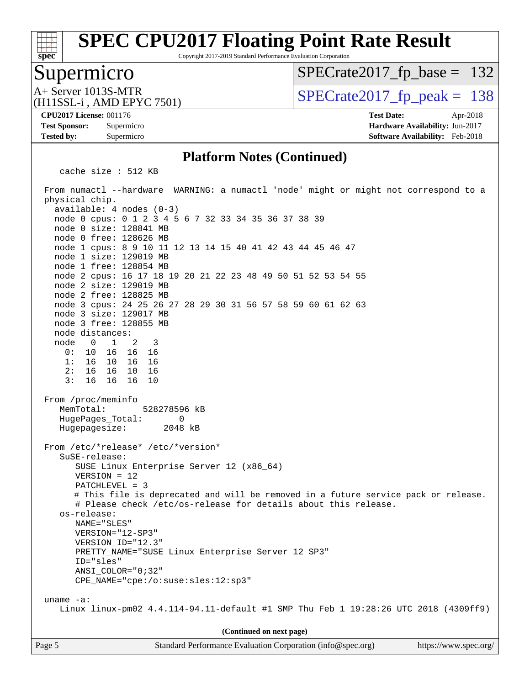Copyright 2017-2019 Standard Performance Evaluation Corporation

### Supermicro

**[spec](http://www.spec.org/)**

[SPECrate2017\\_fp\\_base =](http://www.spec.org/auto/cpu2017/Docs/result-fields.html#SPECrate2017fpbase) 132

(H11SSL-i , AMD EPYC 7501)

 $A+$  Server 1013S-MTR<br>  $\langle H11$ SSL  $\cdot$  AMD FPYC 7501) [SPECrate2017\\_fp\\_peak =](http://www.spec.org/auto/cpu2017/Docs/result-fields.html#SPECrate2017fppeak) 138

**[CPU2017 License:](http://www.spec.org/auto/cpu2017/Docs/result-fields.html#CPU2017License)** 001176 **[Test Date:](http://www.spec.org/auto/cpu2017/Docs/result-fields.html#TestDate)** Apr-2018

**[Tested by:](http://www.spec.org/auto/cpu2017/Docs/result-fields.html#Testedby)** Supermicro **[Software Availability:](http://www.spec.org/auto/cpu2017/Docs/result-fields.html#SoftwareAvailability)** Feb-2018

**[Test Sponsor:](http://www.spec.org/auto/cpu2017/Docs/result-fields.html#TestSponsor)** Supermicro **[Hardware Availability:](http://www.spec.org/auto/cpu2017/Docs/result-fields.html#HardwareAvailability)** Jun-2017

#### **[Platform Notes \(Continued\)](http://www.spec.org/auto/cpu2017/Docs/result-fields.html#PlatformNotes)**

cache size : 512 KB

 From numactl --hardware WARNING: a numactl 'node' might or might not correspond to a physical chip. available: 4 nodes (0-3) node 0 cpus: 0 1 2 3 4 5 6 7 32 33 34 35 36 37 38 39 node 0 size: 128841 MB node 0 free: 128626 MB node 1 cpus: 8 9 10 11 12 13 14 15 40 41 42 43 44 45 46 47 node 1 size: 129019 MB node 1 free: 128854 MB node 2 cpus: 16 17 18 19 20 21 22 23 48 49 50 51 52 53 54 55 node 2 size: 129019 MB node 2 free: 128825 MB node 3 cpus: 24 25 26 27 28 29 30 31 56 57 58 59 60 61 62 63 node 3 size: 129017 MB node 3 free: 128855 MB node distances: node 0 1 2 3 0: 10 16 16 16 1: 16 10 16 16 2: 16 16 10 16 3: 16 16 16 10 From /proc/meminfo MemTotal: 528278596 kB HugePages\_Total: 0 Hugepagesize: 2048 kB From /etc/\*release\* /etc/\*version\* SuSE-release: SUSE Linux Enterprise Server 12 (x86\_64) VERSION = 12 PATCHLEVEL = 3 # This file is deprecated and will be removed in a future service pack or release. # Please check /etc/os-release for details about this release. os-release: NAME="SLES" VERSION="12-SP3" VERSION\_ID="12.3" PRETTY\_NAME="SUSE Linux Enterprise Server 12 SP3" ID="sles" ANSI\_COLOR="0;32" CPE\_NAME="cpe:/o:suse:sles:12:sp3" uname -a: Linux linux-pm02 4.4.114-94.11-default #1 SMP Thu Feb 1 19:28:26 UTC 2018 (4309ff9) **(Continued on next page)**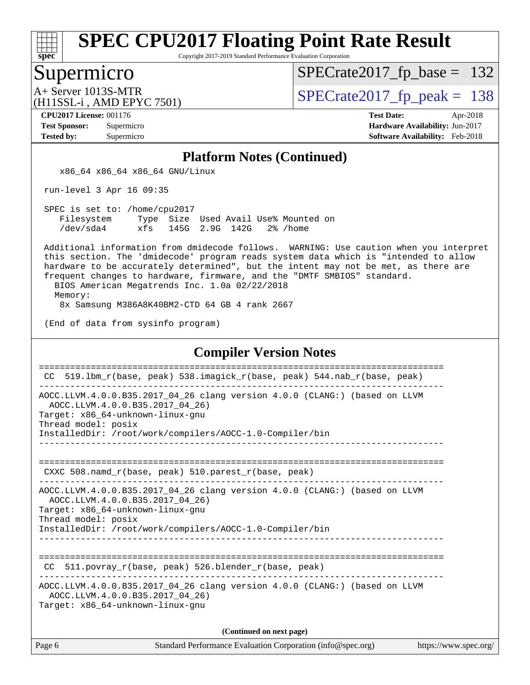

Copyright 2017-2019 Standard Performance Evaluation Corporation

#### Supermicro

 $SPECTate2017_fp\_base = 132$ 

(H11SSL-i , AMD EPYC 7501)

 $A+$  Server 1013S-MTR<br>  $\langle H11$ SSL  $\cdot$  AMD FPYC 7501) [SPECrate2017\\_fp\\_peak =](http://www.spec.org/auto/cpu2017/Docs/result-fields.html#SPECrate2017fppeak) 138

**[CPU2017 License:](http://www.spec.org/auto/cpu2017/Docs/result-fields.html#CPU2017License)** 001176 **[Test Date:](http://www.spec.org/auto/cpu2017/Docs/result-fields.html#TestDate)** Apr-2018 **[Test Sponsor:](http://www.spec.org/auto/cpu2017/Docs/result-fields.html#TestSponsor)** Supermicro **[Hardware Availability:](http://www.spec.org/auto/cpu2017/Docs/result-fields.html#HardwareAvailability)** Jun-2017 **[Tested by:](http://www.spec.org/auto/cpu2017/Docs/result-fields.html#Testedby)** Supermicro **[Software Availability:](http://www.spec.org/auto/cpu2017/Docs/result-fields.html#SoftwareAvailability)** Feb-2018

#### **[Platform Notes \(Continued\)](http://www.spec.org/auto/cpu2017/Docs/result-fields.html#PlatformNotes)**

x86\_64 x86\_64 x86\_64 GNU/Linux

run-level 3 Apr 16 09:35

 SPEC is set to: /home/cpu2017 Filesystem Type Size Used Avail Use% Mounted on /dev/sda4 xfs 145G 2.9G 142G 2% /home

 Additional information from dmidecode follows. WARNING: Use caution when you interpret this section. The 'dmidecode' program reads system data which is "intended to allow hardware to be accurately determined", but the intent may not be met, as there are frequent changes to hardware, firmware, and the "DMTF SMBIOS" standard.

BIOS American Megatrends Inc. 1.0a 02/22/2018

Memory:

8x Samsung M386A8K40BM2-CTD 64 GB 4 rank 2667

(End of data from sysinfo program)

#### **[Compiler Version Notes](http://www.spec.org/auto/cpu2017/Docs/result-fields.html#CompilerVersionNotes)**

| CC.                 | 519.1bm_r(base, peak) 538.imagick_r(base, peak) 544.nab_r(base, peak)                                                                                                                                         |                      |
|---------------------|---------------------------------------------------------------------------------------------------------------------------------------------------------------------------------------------------------------|----------------------|
| Thread model: posix | AOCC.LLVM.4.0.0.B35.2017_04_26 clang version 4.0.0 (CLANG:) (based on LLVM<br>AOCC.LLVM.4.0.0.B35.2017_04_26)<br>Target: x86_64-unknown-linux-gnu<br>InstalledDir: /root/work/compilers/AOCC-1.0-Compiler/bin |                      |
|                     | CXXC 508. namd $r(base, peak)$ 510. parest $r(base, peak)$                                                                                                                                                    |                      |
| Thread model: posix | AOCC.LLVM.4.0.0.B35.2017_04_26 clang version 4.0.0 (CLANG:) (based on LLVM<br>AOCC.LLVM.4.0.0.B35.2017_04_26)<br>Target: x86_64-unknown-linux-gnu<br>InstalledDir: /root/work/compilers/AOCC-1.0-Compiler/bin |                      |
| CC.                 | 511.povray_r(base, peak) 526.blender_r(base, peak)                                                                                                                                                            |                      |
|                     | AOCC.LLVM.4.0.0.B35.2017_04_26 clang version 4.0.0 (CLANG:) (based on LLVM<br>AOCC.LLVM.4.0.0.B35.2017 04 26)<br>Target: x86 64-unknown-linux-gnu                                                             |                      |
|                     | (Continued on next page)                                                                                                                                                                                      |                      |
| Page 6              | Standard Performance Evaluation Corporation (info@spec.org)                                                                                                                                                   | https://www.spec.org |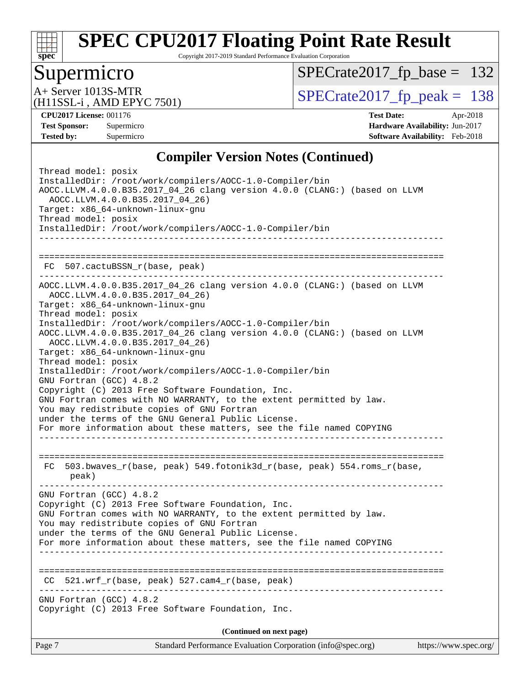

Copyright 2017-2019 Standard Performance Evaluation Corporation

### Supermicro

[SPECrate2017\\_fp\\_base =](http://www.spec.org/auto/cpu2017/Docs/result-fields.html#SPECrate2017fpbase) 132

(H11SSL-i , AMD EPYC 7501)

 $A+$  Server 1013S-MTR<br>
(H11SSL-i AMD EPYC 7501) [SPECrate2017\\_fp\\_peak =](http://www.spec.org/auto/cpu2017/Docs/result-fields.html#SPECrate2017fppeak) 138

**[CPU2017 License:](http://www.spec.org/auto/cpu2017/Docs/result-fields.html#CPU2017License)** 001176 **[Test Date:](http://www.spec.org/auto/cpu2017/Docs/result-fields.html#TestDate)** Apr-2018 **[Test Sponsor:](http://www.spec.org/auto/cpu2017/Docs/result-fields.html#TestSponsor)** Supermicro **[Hardware Availability:](http://www.spec.org/auto/cpu2017/Docs/result-fields.html#HardwareAvailability)** Jun-2017 **[Tested by:](http://www.spec.org/auto/cpu2017/Docs/result-fields.html#Testedby)** Supermicro **[Software Availability:](http://www.spec.org/auto/cpu2017/Docs/result-fields.html#SoftwareAvailability)** Feb-2018

#### **[Compiler Version Notes \(Continued\)](http://www.spec.org/auto/cpu2017/Docs/result-fields.html#CompilerVersionNotes)**

| Page 7                                                                                                 | Standard Performance Evaluation Corporation (info@spec.org)                                                                                                                                                                                                                                                                                                                                                                                                                                                                                                                                                           | https://www.spec.org/ |
|--------------------------------------------------------------------------------------------------------|-----------------------------------------------------------------------------------------------------------------------------------------------------------------------------------------------------------------------------------------------------------------------------------------------------------------------------------------------------------------------------------------------------------------------------------------------------------------------------------------------------------------------------------------------------------------------------------------------------------------------|-----------------------|
|                                                                                                        | (Continued on next page)                                                                                                                                                                                                                                                                                                                                                                                                                                                                                                                                                                                              |                       |
| GNU Fortran (GCC) 4.8.2                                                                                | Copyright (C) 2013 Free Software Foundation, Inc.                                                                                                                                                                                                                                                                                                                                                                                                                                                                                                                                                                     |                       |
| CC                                                                                                     | $521.wrf_r(base, peak)$ 527.cam4 $r(base, peak)$                                                                                                                                                                                                                                                                                                                                                                                                                                                                                                                                                                      |                       |
| GNU Fortran (GCC) 4.8.2                                                                                | Copyright (C) 2013 Free Software Foundation, Inc.<br>GNU Fortran comes with NO WARRANTY, to the extent permitted by law.<br>You may redistribute copies of GNU Fortran<br>under the terms of the GNU General Public License.<br>For more information about these matters, see the file named COPYING                                                                                                                                                                                                                                                                                                                  |                       |
| FC.<br>peak)                                                                                           | 503.bwaves_r(base, peak) 549.fotonik3d_r(base, peak) 554.roms_r(base,                                                                                                                                                                                                                                                                                                                                                                                                                                                                                                                                                 |                       |
| Thread model: posix<br>Thread model: posix<br>GNU Fortran (GCC) 4.8.2                                  | Target: x86_64-unknown-linux-gnu<br>InstalledDir: /root/work/compilers/AOCC-1.0-Compiler/bin<br>AOCC.LLVM.4.0.0.B35.2017_04_26 clang version 4.0.0 (CLANG:) (based on LLVM<br>AOCC.LLVM.4.0.0.B35.2017 04 26)<br>Target: x86_64-unknown-linux-gnu<br>InstalledDir: /root/work/compilers/AOCC-1.0-Compiler/bin<br>Copyright (C) 2013 Free Software Foundation, Inc.<br>GNU Fortran comes with NO WARRANTY, to the extent permitted by law.<br>You may redistribute copies of GNU Fortran<br>under the terms of the GNU General Public License.<br>For more information about these matters, see the file named COPYING |                       |
|                                                                                                        | FC 507.cactuBSSN_r(base, peak)<br>AOCC.LLVM.4.0.0.B35.2017_04_26 clang version 4.0.0 (CLANG:) (based on LLVM<br>AOCC.LLVM.4.0.0.B35.2017_04_26)                                                                                                                                                                                                                                                                                                                                                                                                                                                                       |                       |
| Thread model: posix<br>InstalledDir: /root/work/compilers/AOCC-1.0-Compiler/bin<br>Thread model: posix | AOCC.LLVM.4.0.0.B35.2017_04_26 clang version 4.0.0 (CLANG:) (based on LLVM<br>AOCC.LLVM.4.0.0.B35.2017_04_26)<br>Target: x86_64-unknown-linux-gnu<br>InstalledDir: /root/work/compilers/AOCC-1.0-Compiler/bin                                                                                                                                                                                                                                                                                                                                                                                                         |                       |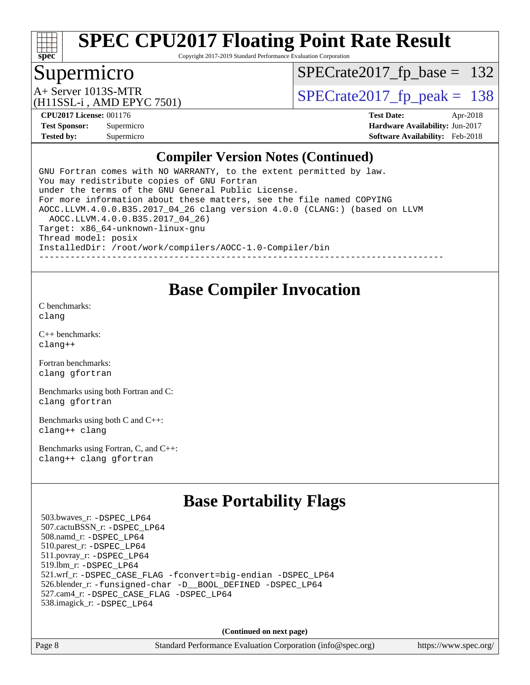

Copyright 2017-2019 Standard Performance Evaluation Corporation

### Supermicro

[SPECrate2017\\_fp\\_base =](http://www.spec.org/auto/cpu2017/Docs/result-fields.html#SPECrate2017fpbase) 132

(H11SSL-i , AMD EPYC 7501)

A+ Server 1013S-MTR<br>  $\alpha$ H11ser 3. AMD EDVC 7501)

**[CPU2017 License:](http://www.spec.org/auto/cpu2017/Docs/result-fields.html#CPU2017License)** 001176 **[Test Date:](http://www.spec.org/auto/cpu2017/Docs/result-fields.html#TestDate)** Apr-2018 **[Test Sponsor:](http://www.spec.org/auto/cpu2017/Docs/result-fields.html#TestSponsor)** Supermicro **[Hardware Availability:](http://www.spec.org/auto/cpu2017/Docs/result-fields.html#HardwareAvailability)** Jun-2017 **[Tested by:](http://www.spec.org/auto/cpu2017/Docs/result-fields.html#Testedby)** Supermicro **[Software Availability:](http://www.spec.org/auto/cpu2017/Docs/result-fields.html#SoftwareAvailability)** Feb-2018

#### **[Compiler Version Notes \(Continued\)](http://www.spec.org/auto/cpu2017/Docs/result-fields.html#CompilerVersionNotes)**

GNU Fortran comes with NO WARRANTY, to the extent permitted by law. You may redistribute copies of GNU Fortran under the terms of the GNU General Public License. For more information about these matters, see the file named COPYING AOCC.LLVM.4.0.0.B35.2017\_04\_26 clang version 4.0.0 (CLANG:) (based on LLVM AOCC.LLVM.4.0.0.B35.2017\_04\_26) Target: x86\_64-unknown-linux-gnu Thread model: posix InstalledDir: /root/work/compilers/AOCC-1.0-Compiler/bin ------------------------------------------------------------------------------

#### **[Base Compiler Invocation](http://www.spec.org/auto/cpu2017/Docs/result-fields.html#BaseCompilerInvocation)**

[C benchmarks](http://www.spec.org/auto/cpu2017/Docs/result-fields.html#Cbenchmarks): [clang](http://www.spec.org/cpu2017/results/res2018q2/cpu2017-20180430-05077.flags.html#user_CCbase_Fclang3)

[C++ benchmarks:](http://www.spec.org/auto/cpu2017/Docs/result-fields.html#CXXbenchmarks) [clang++](http://www.spec.org/cpu2017/results/res2018q2/cpu2017-20180430-05077.flags.html#user_CXXbase_Fclang3_57a48582e5be507d19b2527b3e7d4f85d9b8669ffc9a8a0dbb9bcf949a918a58bbab411e0c4d14a3922022a3e425a90db94042683824c1806feff4324ca1000d)

[Fortran benchmarks](http://www.spec.org/auto/cpu2017/Docs/result-fields.html#Fortranbenchmarks): [clang](http://www.spec.org/cpu2017/results/res2018q2/cpu2017-20180430-05077.flags.html#user_FCbase_Fclang3) [gfortran](http://www.spec.org/cpu2017/results/res2018q2/cpu2017-20180430-05077.flags.html#user_FCbase_gfortran)

[Benchmarks using both Fortran and C](http://www.spec.org/auto/cpu2017/Docs/result-fields.html#BenchmarksusingbothFortranandC): [clang](http://www.spec.org/cpu2017/results/res2018q2/cpu2017-20180430-05077.flags.html#user_CC_FCbase_Fclang3) [gfortran](http://www.spec.org/cpu2017/results/res2018q2/cpu2017-20180430-05077.flags.html#user_CC_FCbase_gfortran)

[Benchmarks using both C and C++](http://www.spec.org/auto/cpu2017/Docs/result-fields.html#BenchmarksusingbothCandCXX): [clang++](http://www.spec.org/cpu2017/results/res2018q2/cpu2017-20180430-05077.flags.html#user_CC_CXXbase_Fclang3_57a48582e5be507d19b2527b3e7d4f85d9b8669ffc9a8a0dbb9bcf949a918a58bbab411e0c4d14a3922022a3e425a90db94042683824c1806feff4324ca1000d) [clang](http://www.spec.org/cpu2017/results/res2018q2/cpu2017-20180430-05077.flags.html#user_CC_CXXbase_Fclang3)

[Benchmarks using Fortran, C, and C++:](http://www.spec.org/auto/cpu2017/Docs/result-fields.html#BenchmarksusingFortranCandCXX) [clang++](http://www.spec.org/cpu2017/results/res2018q2/cpu2017-20180430-05077.flags.html#user_CC_CXX_FCbase_Fclang3_57a48582e5be507d19b2527b3e7d4f85d9b8669ffc9a8a0dbb9bcf949a918a58bbab411e0c4d14a3922022a3e425a90db94042683824c1806feff4324ca1000d) [clang](http://www.spec.org/cpu2017/results/res2018q2/cpu2017-20180430-05077.flags.html#user_CC_CXX_FCbase_Fclang3) [gfortran](http://www.spec.org/cpu2017/results/res2018q2/cpu2017-20180430-05077.flags.html#user_CC_CXX_FCbase_gfortran)

### **[Base Portability Flags](http://www.spec.org/auto/cpu2017/Docs/result-fields.html#BasePortabilityFlags)**

 503.bwaves\_r: [-DSPEC\\_LP64](http://www.spec.org/cpu2017/results/res2018q2/cpu2017-20180430-05077.flags.html#suite_baseEXTRA_PORTABILITY503_bwaves_r_DSPEC_LP64) 507.cactuBSSN\_r: [-DSPEC\\_LP64](http://www.spec.org/cpu2017/results/res2018q2/cpu2017-20180430-05077.flags.html#suite_baseEXTRA_PORTABILITY507_cactuBSSN_r_DSPEC_LP64) 508.namd\_r: [-DSPEC\\_LP64](http://www.spec.org/cpu2017/results/res2018q2/cpu2017-20180430-05077.flags.html#suite_baseEXTRA_PORTABILITY508_namd_r_DSPEC_LP64) 510.parest\_r: [-DSPEC\\_LP64](http://www.spec.org/cpu2017/results/res2018q2/cpu2017-20180430-05077.flags.html#suite_baseEXTRA_PORTABILITY510_parest_r_DSPEC_LP64) 511.povray\_r: [-DSPEC\\_LP64](http://www.spec.org/cpu2017/results/res2018q2/cpu2017-20180430-05077.flags.html#suite_baseEXTRA_PORTABILITY511_povray_r_DSPEC_LP64) 519.lbm\_r: [-DSPEC\\_LP64](http://www.spec.org/cpu2017/results/res2018q2/cpu2017-20180430-05077.flags.html#suite_baseEXTRA_PORTABILITY519_lbm_r_DSPEC_LP64) 521.wrf\_r: [-DSPEC\\_CASE\\_FLAG](http://www.spec.org/cpu2017/results/res2018q2/cpu2017-20180430-05077.flags.html#b521.wrf_r_baseCPORTABILITY_DSPEC_CASE_FLAG) [-fconvert=big-endian](http://www.spec.org/cpu2017/results/res2018q2/cpu2017-20180430-05077.flags.html#user_baseFPORTABILITY521_wrf_r_F-fconvert:big-endian) [-DSPEC\\_LP64](http://www.spec.org/cpu2017/results/res2018q2/cpu2017-20180430-05077.flags.html#suite_baseEXTRA_PORTABILITY521_wrf_r_DSPEC_LP64) 526.blender\_r: [-funsigned-char](http://www.spec.org/cpu2017/results/res2018q2/cpu2017-20180430-05077.flags.html#user_baseCPORTABILITY526_blender_r_F-funsigned-char) [-D\\_\\_BOOL\\_DEFINED](http://www.spec.org/cpu2017/results/res2018q2/cpu2017-20180430-05077.flags.html#b526.blender_r_baseCXXPORTABILITY_D__BOOL_DEFINED) [-DSPEC\\_LP64](http://www.spec.org/cpu2017/results/res2018q2/cpu2017-20180430-05077.flags.html#suite_baseEXTRA_PORTABILITY526_blender_r_DSPEC_LP64) 527.cam4\_r: [-DSPEC\\_CASE\\_FLAG](http://www.spec.org/cpu2017/results/res2018q2/cpu2017-20180430-05077.flags.html#b527.cam4_r_basePORTABILITY_DSPEC_CASE_FLAG) [-DSPEC\\_LP64](http://www.spec.org/cpu2017/results/res2018q2/cpu2017-20180430-05077.flags.html#suite_baseEXTRA_PORTABILITY527_cam4_r_DSPEC_LP64) 538.imagick\_r: [-DSPEC\\_LP64](http://www.spec.org/cpu2017/results/res2018q2/cpu2017-20180430-05077.flags.html#suite_baseEXTRA_PORTABILITY538_imagick_r_DSPEC_LP64)

**(Continued on next page)**

Page 8 Standard Performance Evaluation Corporation [\(info@spec.org\)](mailto:info@spec.org) <https://www.spec.org/>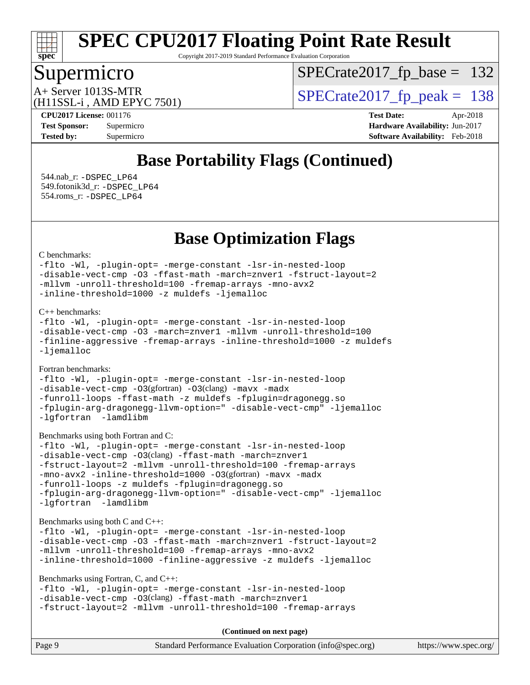

Copyright 2017-2019 Standard Performance Evaluation Corporation

### Supermicro

[SPECrate2017\\_fp\\_base =](http://www.spec.org/auto/cpu2017/Docs/result-fields.html#SPECrate2017fpbase) 132

(H11SSL-i , AMD EPYC 7501)

A+ Server 1013S-MTR<br>  $\mu$ 115SI - AMD EPVC 7501) [SPECrate2017\\_fp\\_peak =](http://www.spec.org/auto/cpu2017/Docs/result-fields.html#SPECrate2017fppeak) 138

**[CPU2017 License:](http://www.spec.org/auto/cpu2017/Docs/result-fields.html#CPU2017License)** 001176 **[Test Date:](http://www.spec.org/auto/cpu2017/Docs/result-fields.html#TestDate)** Apr-2018 **[Test Sponsor:](http://www.spec.org/auto/cpu2017/Docs/result-fields.html#TestSponsor)** Supermicro **[Hardware Availability:](http://www.spec.org/auto/cpu2017/Docs/result-fields.html#HardwareAvailability)** Jun-2017 **[Tested by:](http://www.spec.org/auto/cpu2017/Docs/result-fields.html#Testedby)** Supermicro **[Software Availability:](http://www.spec.org/auto/cpu2017/Docs/result-fields.html#SoftwareAvailability)** Feb-2018

### **[Base Portability Flags \(Continued\)](http://www.spec.org/auto/cpu2017/Docs/result-fields.html#BasePortabilityFlags)**

 544.nab\_r: [-DSPEC\\_LP64](http://www.spec.org/cpu2017/results/res2018q2/cpu2017-20180430-05077.flags.html#suite_baseEXTRA_PORTABILITY544_nab_r_DSPEC_LP64) 549.fotonik3d\_r: [-DSPEC\\_LP64](http://www.spec.org/cpu2017/results/res2018q2/cpu2017-20180430-05077.flags.html#suite_baseEXTRA_PORTABILITY549_fotonik3d_r_DSPEC_LP64) 554.roms\_r: [-DSPEC\\_LP64](http://www.spec.org/cpu2017/results/res2018q2/cpu2017-20180430-05077.flags.html#suite_baseEXTRA_PORTABILITY554_roms_r_DSPEC_LP64)

**[Base Optimization Flags](http://www.spec.org/auto/cpu2017/Docs/result-fields.html#BaseOptimizationFlags)**

[C benchmarks](http://www.spec.org/auto/cpu2017/Docs/result-fields.html#Cbenchmarks):

```
-flto -Wl, -plugin-opt= -merge-constant -lsr-in-nested-loop
-disable-vect-cmp -O3 -ffast-math -march=znver1 -fstruct-layout=2
-mllvm -unroll-threshold=100 -fremap-arrays -mno-avx2
-inline-threshold=1000 -z muldefs -ljemalloc
```
[C++ benchmarks:](http://www.spec.org/auto/cpu2017/Docs/result-fields.html#CXXbenchmarks)

```
-flto -Wl, -plugin-opt= -merge-constant -lsr-in-nested-loop
-disable-vect-cmp -O3 -march=znver1 -mllvm -unroll-threshold=100
-finline-aggressive -fremap-arrays -inline-threshold=1000 -z muldefs
-ljemalloc
```
[Fortran benchmarks](http://www.spec.org/auto/cpu2017/Docs/result-fields.html#Fortranbenchmarks):

[-flto](http://www.spec.org/cpu2017/results/res2018q2/cpu2017-20180430-05077.flags.html#user_FCbase_F-flto) [-Wl,](http://www.spec.org/cpu2017/results/res2018q2/cpu2017-20180430-05077.flags.html#user_FCbase_F-Wl_5f669859b7c1a0295edc4f5fd536c381023f180a987810cb5cfa1d9467a27ac14b13770b9732d7618b24fc778f3dfdf68b65521d505fc870281e0142944925a0) [-plugin-opt=](http://www.spec.org/cpu2017/results/res2018q2/cpu2017-20180430-05077.flags.html#user_FCbase_F-plugin-opt_772899571bb6157e4b8feeb3276e6c06dec41c1bbb0aa637c8700742a4baaf7e7b56061e32ae2365a76a44d8c448177ca3ee066cdf7537598ff772fc461942c2) [-merge-constant](http://www.spec.org/cpu2017/results/res2018q2/cpu2017-20180430-05077.flags.html#user_FCbase_F-merge-constant_bdb3ec75d21d5cf0ab1961ebe7105d0ea3b0c6d89a312cf7efc1d107e6c56c92c36b5d564d0702d1e2526f6b92f188b4413eb5a54b1f9e4a41f5a9bfc0233b92) [-lsr-in-nested-loop](http://www.spec.org/cpu2017/results/res2018q2/cpu2017-20180430-05077.flags.html#user_FCbase_F-lsr-in-nested-loop) [-disable-vect-cmp](http://www.spec.org/cpu2017/results/res2018q2/cpu2017-20180430-05077.flags.html#user_FCbase_F-disable-vect-cmp) -03(gfortran) -03(clang) [-mavx](http://www.spec.org/cpu2017/results/res2018q2/cpu2017-20180430-05077.flags.html#user_FCbase_F-mavx) [-madx](http://www.spec.org/cpu2017/results/res2018q2/cpu2017-20180430-05077.flags.html#user_FCbase_F-madx) [-funroll-loops](http://www.spec.org/cpu2017/results/res2018q2/cpu2017-20180430-05077.flags.html#user_FCbase_F-funroll-loops) [-ffast-math](http://www.spec.org/cpu2017/results/res2018q2/cpu2017-20180430-05077.flags.html#user_FCbase_F-ffast-math) [-z muldefs](http://www.spec.org/cpu2017/results/res2018q2/cpu2017-20180430-05077.flags.html#user_FCbase_zmuldefs) [-fplugin=dragonegg.so](http://www.spec.org/cpu2017/results/res2018q2/cpu2017-20180430-05077.flags.html#user_FCbase_F-fpluginDragonEgg) [-fplugin-arg-dragonegg-llvm-option="](http://www.spec.org/cpu2017/results/res2018q2/cpu2017-20180430-05077.flags.html#user_FCbase_F-fplugin-arg-dragonegg-llvm-option_98400a9ab866ed0085f1e7306b6fe3b9aac45e0c6ce6c4c776296af40a6f95ac09a5771072dd0b0cdcb566a3e79e79d2a726fc48d436745311228115dad9979d) [-disable-vect-cmp"](http://www.spec.org/cpu2017/results/res2018q2/cpu2017-20180430-05077.flags.html#user_FCbase_F-dragonegg-llvm-disable-vect-cmp_6cf351a29613b68bfdbd040d3e22ab0ce250093fe1c4f1b0b3e19cc513bf9fe59893782c14402abfbebd018ed2d47d139a1a3c59a802b3eac454540228820b23) [-ljemalloc](http://www.spec.org/cpu2017/results/res2018q2/cpu2017-20180430-05077.flags.html#user_FCbase_F-ljemalloc) [-lgfortran](http://www.spec.org/cpu2017/results/res2018q2/cpu2017-20180430-05077.flags.html#user_FCbase_F-lgfortran_aee53aa7918ae35ea4e5035d616421204ae8a638c05873868b1aa8743e73ef3f738c1d9cddaea8bce7f96e18015ec2f72d6588008f90a113075c46bd34a5e3c3) -lamdlibm

[Benchmarks using both Fortran and C](http://www.spec.org/auto/cpu2017/Docs/result-fields.html#BenchmarksusingbothFortranandC):

```
-flto -Wl, -plugin-opt= -merge-constant -lsr-in-nested-loop
-disable-vect-cmp -O3(clang) -ffast-math -march=znver1
-fstruct-layout=2 -mllvm -unroll-threshold=100 -fremap-arrays
-mno-avx2 -inline-threshold=1000 -O3(gfortran) -mavx -madx
-funroll-loops -z muldefs -fplugin=dragonegg.so
-fplugin-arg-dragonegg-llvm-option=" -disable-vect-cmp" -ljemalloc
-lgfortran -lamdlibm
```
[Benchmarks using both C and C++](http://www.spec.org/auto/cpu2017/Docs/result-fields.html#BenchmarksusingbothCandCXX):

```
-flto -Wl, -plugin-opt= -merge-constant -lsr-in-nested-loop
-disable-vect-cmp -O3 -ffast-math -march=znver1 -fstruct-layout=2
-mllvm -unroll-threshold=100 -fremap-arrays -mno-avx2
-inline-threshold=1000 -finline-aggressive -z muldefs -ljemalloc
```
[Benchmarks using Fortran, C, and C++:](http://www.spec.org/auto/cpu2017/Docs/result-fields.html#BenchmarksusingFortranCandCXX)

[-flto](http://www.spec.org/cpu2017/results/res2018q2/cpu2017-20180430-05077.flags.html#user_CC_CXX_FCbase_F-flto) [-Wl,](http://www.spec.org/cpu2017/results/res2018q2/cpu2017-20180430-05077.flags.html#user_CC_CXX_FCbase_F-Wl_5f669859b7c1a0295edc4f5fd536c381023f180a987810cb5cfa1d9467a27ac14b13770b9732d7618b24fc778f3dfdf68b65521d505fc870281e0142944925a0) [-plugin-opt=](http://www.spec.org/cpu2017/results/res2018q2/cpu2017-20180430-05077.flags.html#user_CC_CXX_FCbase_F-plugin-opt_772899571bb6157e4b8feeb3276e6c06dec41c1bbb0aa637c8700742a4baaf7e7b56061e32ae2365a76a44d8c448177ca3ee066cdf7537598ff772fc461942c2) [-merge-constant](http://www.spec.org/cpu2017/results/res2018q2/cpu2017-20180430-05077.flags.html#user_CC_CXX_FCbase_F-merge-constant_bdb3ec75d21d5cf0ab1961ebe7105d0ea3b0c6d89a312cf7efc1d107e6c56c92c36b5d564d0702d1e2526f6b92f188b4413eb5a54b1f9e4a41f5a9bfc0233b92) [-lsr-in-nested-loop](http://www.spec.org/cpu2017/results/res2018q2/cpu2017-20180430-05077.flags.html#user_CC_CXX_FCbase_F-lsr-in-nested-loop) [-disable-vect-cmp](http://www.spec.org/cpu2017/results/res2018q2/cpu2017-20180430-05077.flags.html#user_CC_CXX_FCbase_F-disable-vect-cmp) [-O3](http://www.spec.org/cpu2017/results/res2018q2/cpu2017-20180430-05077.flags.html#user_CC_CXX_FCbase_F-O3)(clang) [-ffast-math](http://www.spec.org/cpu2017/results/res2018q2/cpu2017-20180430-05077.flags.html#user_CC_CXX_FCbase_F-ffast-math) [-march=znver1](http://www.spec.org/cpu2017/results/res2018q2/cpu2017-20180430-05077.flags.html#user_CC_CXX_FCbase_march_082ab2c5e8f99f69c47c63adfdc26f9617958cc68d0b5dbfb7aa6935cde4c91d5d9c2fdc24e6781fa8a0299196f2f4ca8e995f825d797de797910507b4251bb3) [-fstruct-layout=2](http://www.spec.org/cpu2017/results/res2018q2/cpu2017-20180430-05077.flags.html#user_CC_CXX_FCbase_F-fstruct-layout_a05ec02e17cdf7fe0c3950a6b005251b2b1e5e67af2b5298cf72714730c3d59ba290e75546b10aa22dac074c15ceaca36ae22c62cb51bcb2fbdc9dc4e7e222c4) [-mllvm](http://www.spec.org/cpu2017/results/res2018q2/cpu2017-20180430-05077.flags.html#user_CC_CXX_FCbase_F-mllvm_76e3f86ef8d8cc4dfa84cec42d531db351fee284f72cd5d644b5bdbef9c2604296512be6a431d9e19d0523544399ea9dd745afc2fff755a0705d428460dc659e) [-unroll-threshold=100](http://www.spec.org/cpu2017/results/res2018q2/cpu2017-20180430-05077.flags.html#user_CC_CXX_FCbase_F-unroll-threshold) [-fremap-arrays](http://www.spec.org/cpu2017/results/res2018q2/cpu2017-20180430-05077.flags.html#user_CC_CXX_FCbase_F-fremap-arrays)

**(Continued on next page)**

| Page 9 | Standard Performance Evaluation Corporation (info@spec.org) | https://www.spec.org/ |
|--------|-------------------------------------------------------------|-----------------------|
|--------|-------------------------------------------------------------|-----------------------|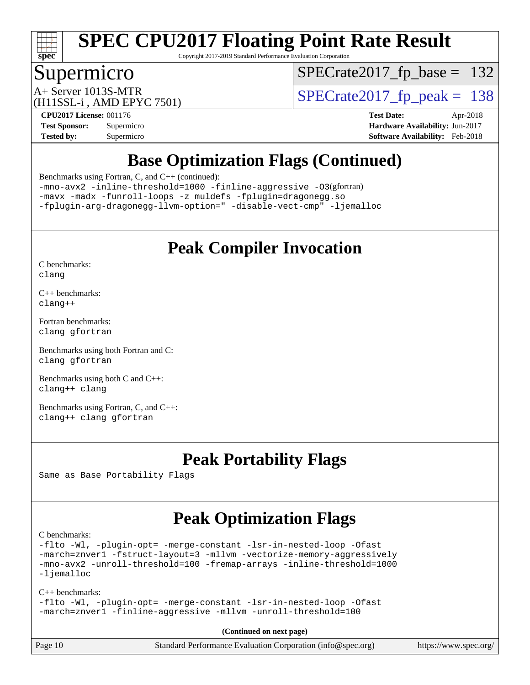

Copyright 2017-2019 Standard Performance Evaluation Corporation

### Supermicro

[SPECrate2017\\_fp\\_base =](http://www.spec.org/auto/cpu2017/Docs/result-fields.html#SPECrate2017fpbase) 132

(H11SSL-i , AMD EPYC 7501)

 $A+$  Server 1013S-MTR<br>  $\langle H11$ SSL  $\cdot$  AMD FPYC 7501) [SPECrate2017\\_fp\\_peak =](http://www.spec.org/auto/cpu2017/Docs/result-fields.html#SPECrate2017fppeak) 138

**[CPU2017 License:](http://www.spec.org/auto/cpu2017/Docs/result-fields.html#CPU2017License)** 001176 **[Test Date:](http://www.spec.org/auto/cpu2017/Docs/result-fields.html#TestDate)** Apr-2018

**[Test Sponsor:](http://www.spec.org/auto/cpu2017/Docs/result-fields.html#TestSponsor)** Supermicro **[Hardware Availability:](http://www.spec.org/auto/cpu2017/Docs/result-fields.html#HardwareAvailability)** Jun-2017 **[Tested by:](http://www.spec.org/auto/cpu2017/Docs/result-fields.html#Testedby)** Supermicro **[Software Availability:](http://www.spec.org/auto/cpu2017/Docs/result-fields.html#SoftwareAvailability)** Feb-2018

### **[Base Optimization Flags \(Continued\)](http://www.spec.org/auto/cpu2017/Docs/result-fields.html#BaseOptimizationFlags)**

[Benchmarks using Fortran, C, and C++](http://www.spec.org/auto/cpu2017/Docs/result-fields.html#BenchmarksusingFortranCandCXX) (continued):

[-mno-avx2](http://www.spec.org/cpu2017/results/res2018q2/cpu2017-20180430-05077.flags.html#user_CC_CXX_FCbase_F-mno-avx2) [-inline-threshold=1000](http://www.spec.org/cpu2017/results/res2018q2/cpu2017-20180430-05077.flags.html#user_CC_CXX_FCbase_F-inline-threshold_1daf3e0321a7a0c1ea19068c818f3f119b1e5dfc986cc791557791f4b93536c1546ba0c8585f62303269f504aa232e0ca278e8489928152e32e0752215741730) [-finline-aggressive](http://www.spec.org/cpu2017/results/res2018q2/cpu2017-20180430-05077.flags.html#user_CC_CXX_FCbase_F-finline-aggressive) [-O3](http://www.spec.org/cpu2017/results/res2018q2/cpu2017-20180430-05077.flags.html#user_CC_CXX_FCbase_Olevel-gcc_2a8c613e11e2962ae78d693398304d6f1c12fa10320380cff05dd109643c60bb04214353a55f02d8022371d19f6dd940085da69c3a4516b2b7029e64f867e782)(gfortran)

[-mavx](http://www.spec.org/cpu2017/results/res2018q2/cpu2017-20180430-05077.flags.html#user_CC_CXX_FCbase_F-mavx) [-madx](http://www.spec.org/cpu2017/results/res2018q2/cpu2017-20180430-05077.flags.html#user_CC_CXX_FCbase_F-madx) [-funroll-loops](http://www.spec.org/cpu2017/results/res2018q2/cpu2017-20180430-05077.flags.html#user_CC_CXX_FCbase_F-funroll-loops) [-z muldefs](http://www.spec.org/cpu2017/results/res2018q2/cpu2017-20180430-05077.flags.html#user_CC_CXX_FCbase_zmuldefs) [-fplugin=dragonegg.so](http://www.spec.org/cpu2017/results/res2018q2/cpu2017-20180430-05077.flags.html#user_CC_CXX_FCbase_F-fpluginDragonEgg) [-fplugin-arg-dragonegg-llvm-option="](http://www.spec.org/cpu2017/results/res2018q2/cpu2017-20180430-05077.flags.html#user_CC_CXX_FCbase_F-fplugin-arg-dragonegg-llvm-option_98400a9ab866ed0085f1e7306b6fe3b9aac45e0c6ce6c4c776296af40a6f95ac09a5771072dd0b0cdcb566a3e79e79d2a726fc48d436745311228115dad9979d) [-disable-vect-cmp"](http://www.spec.org/cpu2017/results/res2018q2/cpu2017-20180430-05077.flags.html#user_CC_CXX_FCbase_F-dragonegg-llvm-disable-vect-cmp_6cf351a29613b68bfdbd040d3e22ab0ce250093fe1c4f1b0b3e19cc513bf9fe59893782c14402abfbebd018ed2d47d139a1a3c59a802b3eac454540228820b23) [-ljemalloc](http://www.spec.org/cpu2017/results/res2018q2/cpu2017-20180430-05077.flags.html#user_CC_CXX_FCbase_F-ljemalloc)

### **[Peak Compiler Invocation](http://www.spec.org/auto/cpu2017/Docs/result-fields.html#PeakCompilerInvocation)**

[C benchmarks](http://www.spec.org/auto/cpu2017/Docs/result-fields.html#Cbenchmarks): [clang](http://www.spec.org/cpu2017/results/res2018q2/cpu2017-20180430-05077.flags.html#user_CCpeak_Fclang3)

[C++ benchmarks:](http://www.spec.org/auto/cpu2017/Docs/result-fields.html#CXXbenchmarks) [clang++](http://www.spec.org/cpu2017/results/res2018q2/cpu2017-20180430-05077.flags.html#user_CXXpeak_Fclang3_57a48582e5be507d19b2527b3e7d4f85d9b8669ffc9a8a0dbb9bcf949a918a58bbab411e0c4d14a3922022a3e425a90db94042683824c1806feff4324ca1000d)

[Fortran benchmarks](http://www.spec.org/auto/cpu2017/Docs/result-fields.html#Fortranbenchmarks): [clang](http://www.spec.org/cpu2017/results/res2018q2/cpu2017-20180430-05077.flags.html#user_FCpeak_Fclang3) [gfortran](http://www.spec.org/cpu2017/results/res2018q2/cpu2017-20180430-05077.flags.html#user_FCpeak_gfortran)

[Benchmarks using both Fortran and C](http://www.spec.org/auto/cpu2017/Docs/result-fields.html#BenchmarksusingbothFortranandC): [clang](http://www.spec.org/cpu2017/results/res2018q2/cpu2017-20180430-05077.flags.html#user_CC_FCpeak_Fclang3) [gfortran](http://www.spec.org/cpu2017/results/res2018q2/cpu2017-20180430-05077.flags.html#user_CC_FCpeak_gfortran)

[Benchmarks using both C and C++](http://www.spec.org/auto/cpu2017/Docs/result-fields.html#BenchmarksusingbothCandCXX): [clang++](http://www.spec.org/cpu2017/results/res2018q2/cpu2017-20180430-05077.flags.html#user_CC_CXXpeak_Fclang3_57a48582e5be507d19b2527b3e7d4f85d9b8669ffc9a8a0dbb9bcf949a918a58bbab411e0c4d14a3922022a3e425a90db94042683824c1806feff4324ca1000d) [clang](http://www.spec.org/cpu2017/results/res2018q2/cpu2017-20180430-05077.flags.html#user_CC_CXXpeak_Fclang3)

[Benchmarks using Fortran, C, and C++:](http://www.spec.org/auto/cpu2017/Docs/result-fields.html#BenchmarksusingFortranCandCXX) [clang++](http://www.spec.org/cpu2017/results/res2018q2/cpu2017-20180430-05077.flags.html#user_CC_CXX_FCpeak_Fclang3_57a48582e5be507d19b2527b3e7d4f85d9b8669ffc9a8a0dbb9bcf949a918a58bbab411e0c4d14a3922022a3e425a90db94042683824c1806feff4324ca1000d) [clang](http://www.spec.org/cpu2017/results/res2018q2/cpu2017-20180430-05077.flags.html#user_CC_CXX_FCpeak_Fclang3) [gfortran](http://www.spec.org/cpu2017/results/res2018q2/cpu2017-20180430-05077.flags.html#user_CC_CXX_FCpeak_gfortran)

### **[Peak Portability Flags](http://www.spec.org/auto/cpu2017/Docs/result-fields.html#PeakPortabilityFlags)**

Same as Base Portability Flags

### **[Peak Optimization Flags](http://www.spec.org/auto/cpu2017/Docs/result-fields.html#PeakOptimizationFlags)**

[C benchmarks](http://www.spec.org/auto/cpu2017/Docs/result-fields.html#Cbenchmarks):

[-flto](http://www.spec.org/cpu2017/results/res2018q2/cpu2017-20180430-05077.flags.html#user_CCpeak_F-flto) [-Wl,](http://www.spec.org/cpu2017/results/res2018q2/cpu2017-20180430-05077.flags.html#user_CCpeak_F-Wl_5f669859b7c1a0295edc4f5fd536c381023f180a987810cb5cfa1d9467a27ac14b13770b9732d7618b24fc778f3dfdf68b65521d505fc870281e0142944925a0) [-plugin-opt=](http://www.spec.org/cpu2017/results/res2018q2/cpu2017-20180430-05077.flags.html#user_CCpeak_F-plugin-opt_772899571bb6157e4b8feeb3276e6c06dec41c1bbb0aa637c8700742a4baaf7e7b56061e32ae2365a76a44d8c448177ca3ee066cdf7537598ff772fc461942c2) [-merge-constant](http://www.spec.org/cpu2017/results/res2018q2/cpu2017-20180430-05077.flags.html#user_CCpeak_F-merge-constant_bdb3ec75d21d5cf0ab1961ebe7105d0ea3b0c6d89a312cf7efc1d107e6c56c92c36b5d564d0702d1e2526f6b92f188b4413eb5a54b1f9e4a41f5a9bfc0233b92) [-lsr-in-nested-loop](http://www.spec.org/cpu2017/results/res2018q2/cpu2017-20180430-05077.flags.html#user_CCpeak_F-lsr-in-nested-loop) [-Ofast](http://www.spec.org/cpu2017/results/res2018q2/cpu2017-20180430-05077.flags.html#user_CCpeak_F-Ofast) [-march=znver1](http://www.spec.org/cpu2017/results/res2018q2/cpu2017-20180430-05077.flags.html#user_CCpeak_march_082ab2c5e8f99f69c47c63adfdc26f9617958cc68d0b5dbfb7aa6935cde4c91d5d9c2fdc24e6781fa8a0299196f2f4ca8e995f825d797de797910507b4251bb3) [-fstruct-layout=3](http://www.spec.org/cpu2017/results/res2018q2/cpu2017-20180430-05077.flags.html#user_CCpeak_F-fstruct-layout) [-mllvm](http://www.spec.org/cpu2017/results/res2018q2/cpu2017-20180430-05077.flags.html#user_CCpeak_F-mllvm_76e3f86ef8d8cc4dfa84cec42d531db351fee284f72cd5d644b5bdbef9c2604296512be6a431d9e19d0523544399ea9dd745afc2fff755a0705d428460dc659e) [-vectorize-memory-aggressively](http://www.spec.org/cpu2017/results/res2018q2/cpu2017-20180430-05077.flags.html#user_CCpeak_F-vectorize-memory-aggressively) [-mno-avx2](http://www.spec.org/cpu2017/results/res2018q2/cpu2017-20180430-05077.flags.html#user_CCpeak_F-mno-avx2) [-unroll-threshold=100](http://www.spec.org/cpu2017/results/res2018q2/cpu2017-20180430-05077.flags.html#user_CCpeak_F-unroll-threshold) [-fremap-arrays](http://www.spec.org/cpu2017/results/res2018q2/cpu2017-20180430-05077.flags.html#user_CCpeak_F-fremap-arrays) [-inline-threshold=1000](http://www.spec.org/cpu2017/results/res2018q2/cpu2017-20180430-05077.flags.html#user_CCpeak_F-inline-threshold_1daf3e0321a7a0c1ea19068c818f3f119b1e5dfc986cc791557791f4b93536c1546ba0c8585f62303269f504aa232e0ca278e8489928152e32e0752215741730) [-ljemalloc](http://www.spec.org/cpu2017/results/res2018q2/cpu2017-20180430-05077.flags.html#user_CCpeak_F-ljemalloc)

[C++ benchmarks:](http://www.spec.org/auto/cpu2017/Docs/result-fields.html#CXXbenchmarks)

[-flto](http://www.spec.org/cpu2017/results/res2018q2/cpu2017-20180430-05077.flags.html#user_CXXpeak_F-flto) [-Wl,](http://www.spec.org/cpu2017/results/res2018q2/cpu2017-20180430-05077.flags.html#user_CXXpeak_F-Wl_5f669859b7c1a0295edc4f5fd536c381023f180a987810cb5cfa1d9467a27ac14b13770b9732d7618b24fc778f3dfdf68b65521d505fc870281e0142944925a0) [-plugin-opt=](http://www.spec.org/cpu2017/results/res2018q2/cpu2017-20180430-05077.flags.html#user_CXXpeak_F-plugin-opt_772899571bb6157e4b8feeb3276e6c06dec41c1bbb0aa637c8700742a4baaf7e7b56061e32ae2365a76a44d8c448177ca3ee066cdf7537598ff772fc461942c2) [-merge-constant](http://www.spec.org/cpu2017/results/res2018q2/cpu2017-20180430-05077.flags.html#user_CXXpeak_F-merge-constant_bdb3ec75d21d5cf0ab1961ebe7105d0ea3b0c6d89a312cf7efc1d107e6c56c92c36b5d564d0702d1e2526f6b92f188b4413eb5a54b1f9e4a41f5a9bfc0233b92) [-lsr-in-nested-loop](http://www.spec.org/cpu2017/results/res2018q2/cpu2017-20180430-05077.flags.html#user_CXXpeak_F-lsr-in-nested-loop) [-Ofast](http://www.spec.org/cpu2017/results/res2018q2/cpu2017-20180430-05077.flags.html#user_CXXpeak_F-Ofast) [-march=znver1](http://www.spec.org/cpu2017/results/res2018q2/cpu2017-20180430-05077.flags.html#user_CXXpeak_march_082ab2c5e8f99f69c47c63adfdc26f9617958cc68d0b5dbfb7aa6935cde4c91d5d9c2fdc24e6781fa8a0299196f2f4ca8e995f825d797de797910507b4251bb3) [-finline-aggressive](http://www.spec.org/cpu2017/results/res2018q2/cpu2017-20180430-05077.flags.html#user_CXXpeak_F-finline-aggressive) [-mllvm](http://www.spec.org/cpu2017/results/res2018q2/cpu2017-20180430-05077.flags.html#user_CXXpeak_F-mllvm_76e3f86ef8d8cc4dfa84cec42d531db351fee284f72cd5d644b5bdbef9c2604296512be6a431d9e19d0523544399ea9dd745afc2fff755a0705d428460dc659e) [-unroll-threshold=100](http://www.spec.org/cpu2017/results/res2018q2/cpu2017-20180430-05077.flags.html#user_CXXpeak_F-unroll-threshold)

**(Continued on next page)**

| Page 10 | Standard Performance Evaluation Corporation (info@spec.org) | https://www.spec.org/ |
|---------|-------------------------------------------------------------|-----------------------|
|---------|-------------------------------------------------------------|-----------------------|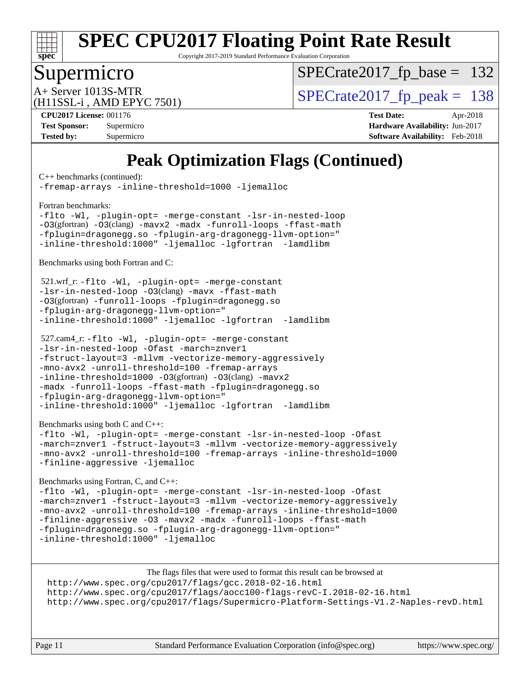

Copyright 2017-2019 Standard Performance Evaluation Corporation

### Supermicro

[SPECrate2017\\_fp\\_base =](http://www.spec.org/auto/cpu2017/Docs/result-fields.html#SPECrate2017fpbase) 132

(H11SSL-i , AMD EPYC 7501)

A+ Server 1013S-MTR<br>  $\mu$ 115SI - AMD EPVC 7501) [SPECrate2017\\_fp\\_peak =](http://www.spec.org/auto/cpu2017/Docs/result-fields.html#SPECrate2017fppeak) 138

**[CPU2017 License:](http://www.spec.org/auto/cpu2017/Docs/result-fields.html#CPU2017License)** 001176 **[Test Date:](http://www.spec.org/auto/cpu2017/Docs/result-fields.html#TestDate)** Apr-2018 **[Test Sponsor:](http://www.spec.org/auto/cpu2017/Docs/result-fields.html#TestSponsor)** Supermicro **[Hardware Availability:](http://www.spec.org/auto/cpu2017/Docs/result-fields.html#HardwareAvailability)** Jun-2017 **[Tested by:](http://www.spec.org/auto/cpu2017/Docs/result-fields.html#Testedby)** Supermicro **[Software Availability:](http://www.spec.org/auto/cpu2017/Docs/result-fields.html#SoftwareAvailability)** Feb-2018

### **[Peak Optimization Flags \(Continued\)](http://www.spec.org/auto/cpu2017/Docs/result-fields.html#PeakOptimizationFlags)**

[C++ benchmarks](http://www.spec.org/auto/cpu2017/Docs/result-fields.html#CXXbenchmarks) (continued):

[-fremap-arrays](http://www.spec.org/cpu2017/results/res2018q2/cpu2017-20180430-05077.flags.html#user_CXXpeak_F-fremap-arrays) [-inline-threshold=1000](http://www.spec.org/cpu2017/results/res2018q2/cpu2017-20180430-05077.flags.html#user_CXXpeak_F-inline-threshold_1daf3e0321a7a0c1ea19068c818f3f119b1e5dfc986cc791557791f4b93536c1546ba0c8585f62303269f504aa232e0ca278e8489928152e32e0752215741730) [-ljemalloc](http://www.spec.org/cpu2017/results/res2018q2/cpu2017-20180430-05077.flags.html#user_CXXpeak_F-ljemalloc)

[Fortran benchmarks](http://www.spec.org/auto/cpu2017/Docs/result-fields.html#Fortranbenchmarks):

[-flto](http://www.spec.org/cpu2017/results/res2018q2/cpu2017-20180430-05077.flags.html#user_FCpeak_F-flto) [-Wl,](http://www.spec.org/cpu2017/results/res2018q2/cpu2017-20180430-05077.flags.html#user_FCpeak_F-Wl_5f669859b7c1a0295edc4f5fd536c381023f180a987810cb5cfa1d9467a27ac14b13770b9732d7618b24fc778f3dfdf68b65521d505fc870281e0142944925a0) [-plugin-opt=](http://www.spec.org/cpu2017/results/res2018q2/cpu2017-20180430-05077.flags.html#user_FCpeak_F-plugin-opt_772899571bb6157e4b8feeb3276e6c06dec41c1bbb0aa637c8700742a4baaf7e7b56061e32ae2365a76a44d8c448177ca3ee066cdf7537598ff772fc461942c2) [-merge-constant](http://www.spec.org/cpu2017/results/res2018q2/cpu2017-20180430-05077.flags.html#user_FCpeak_F-merge-constant_bdb3ec75d21d5cf0ab1961ebe7105d0ea3b0c6d89a312cf7efc1d107e6c56c92c36b5d564d0702d1e2526f6b92f188b4413eb5a54b1f9e4a41f5a9bfc0233b92) [-lsr-in-nested-loop](http://www.spec.org/cpu2017/results/res2018q2/cpu2017-20180430-05077.flags.html#user_FCpeak_F-lsr-in-nested-loop) [-O3](http://www.spec.org/cpu2017/results/res2018q2/cpu2017-20180430-05077.flags.html#user_FCpeak_Olevel-gcc_2a8c613e11e2962ae78d693398304d6f1c12fa10320380cff05dd109643c60bb04214353a55f02d8022371d19f6dd940085da69c3a4516b2b7029e64f867e782)(gfortran) [-O3](http://www.spec.org/cpu2017/results/res2018q2/cpu2017-20180430-05077.flags.html#user_FCpeak_F-O3)(clang) [-mavx2](http://www.spec.org/cpu2017/results/res2018q2/cpu2017-20180430-05077.flags.html#user_FCpeak_F-mavx2) [-madx](http://www.spec.org/cpu2017/results/res2018q2/cpu2017-20180430-05077.flags.html#user_FCpeak_F-madx) [-funroll-loops](http://www.spec.org/cpu2017/results/res2018q2/cpu2017-20180430-05077.flags.html#user_FCpeak_F-funroll-loops) [-ffast-math](http://www.spec.org/cpu2017/results/res2018q2/cpu2017-20180430-05077.flags.html#user_FCpeak_F-ffast-math) [-fplugin=dragonegg.so](http://www.spec.org/cpu2017/results/res2018q2/cpu2017-20180430-05077.flags.html#user_FCpeak_F-fpluginDragonEgg) [-fplugin-arg-dragonegg-llvm-option="](http://www.spec.org/cpu2017/results/res2018q2/cpu2017-20180430-05077.flags.html#user_FCpeak_F-fplugin-arg-dragonegg-llvm-option_98400a9ab866ed0085f1e7306b6fe3b9aac45e0c6ce6c4c776296af40a6f95ac09a5771072dd0b0cdcb566a3e79e79d2a726fc48d436745311228115dad9979d) [-inline-threshold:1000"](http://www.spec.org/cpu2017/results/res2018q2/cpu2017-20180430-05077.flags.html#user_FCpeak_F-dragonegg-llvm-inline-threshold_07e61fd64d703e09a3d6c9aee6ac288c2f7760387fb253286b0ad61651eb62a3a8ac21dc1f35cedb13440b70bea3f6cc5470d6ba8f82ad27d00629d560a26e62) [-ljemalloc](http://www.spec.org/cpu2017/results/res2018q2/cpu2017-20180430-05077.flags.html#user_FCpeak_F-ljemalloc) [-lgfortran](http://www.spec.org/cpu2017/results/res2018q2/cpu2017-20180430-05077.flags.html#user_FCpeak_F-lgfortran_aee53aa7918ae35ea4e5035d616421204ae8a638c05873868b1aa8743e73ef3f738c1d9cddaea8bce7f96e18015ec2f72d6588008f90a113075c46bd34a5e3c3) [-lamdlibm](http://www.spec.org/cpu2017/results/res2018q2/cpu2017-20180430-05077.flags.html#user_FCpeak_F-lamdlibm_1db3d84841b8a1b4efe9441895380ccb52ec69ae4c885fce609f880d1f58d8b3c2693ad984247faf1d5c0b0abc492f2987ed2911d4dbfc830003ff87fe5a2273) 

[Benchmarks using both Fortran and C](http://www.spec.org/auto/cpu2017/Docs/result-fields.html#BenchmarksusingbothFortranandC):

 521.wrf\_r: [-flto](http://www.spec.org/cpu2017/results/res2018q2/cpu2017-20180430-05077.flags.html#user_peakEXTRA_LDFLAGS521_wrf_r_F-flto) [-Wl,](http://www.spec.org/cpu2017/results/res2018q2/cpu2017-20180430-05077.flags.html#user_peakEXTRA_LDFLAGS521_wrf_r_F-Wl_5f669859b7c1a0295edc4f5fd536c381023f180a987810cb5cfa1d9467a27ac14b13770b9732d7618b24fc778f3dfdf68b65521d505fc870281e0142944925a0) [-plugin-opt=](http://www.spec.org/cpu2017/results/res2018q2/cpu2017-20180430-05077.flags.html#user_peakEXTRA_LDFLAGS521_wrf_r_F-plugin-opt_772899571bb6157e4b8feeb3276e6c06dec41c1bbb0aa637c8700742a4baaf7e7b56061e32ae2365a76a44d8c448177ca3ee066cdf7537598ff772fc461942c2) [-merge-constant](http://www.spec.org/cpu2017/results/res2018q2/cpu2017-20180430-05077.flags.html#user_peakEXTRA_FFLAGSEXTRA_LDFLAGS521_wrf_r_F-merge-constant_bdb3ec75d21d5cf0ab1961ebe7105d0ea3b0c6d89a312cf7efc1d107e6c56c92c36b5d564d0702d1e2526f6b92f188b4413eb5a54b1f9e4a41f5a9bfc0233b92) [-lsr-in-nested-loop](http://www.spec.org/cpu2017/results/res2018q2/cpu2017-20180430-05077.flags.html#user_peakEXTRA_LDFLAGS521_wrf_r_F-lsr-in-nested-loop) [-O3](http://www.spec.org/cpu2017/results/res2018q2/cpu2017-20180430-05077.flags.html#user_peakCOPTIMIZEFOPTIMIZE521_wrf_r_F-O3)(clang) [-mavx](http://www.spec.org/cpu2017/results/res2018q2/cpu2017-20180430-05077.flags.html#user_peakCOPTIMIZEFOPTIMIZE521_wrf_r_F-mavx) [-ffast-math](http://www.spec.org/cpu2017/results/res2018q2/cpu2017-20180430-05077.flags.html#user_peakCOPTIMIZEFOPTIMIZE521_wrf_r_F-ffast-math) [-O3](http://www.spec.org/cpu2017/results/res2018q2/cpu2017-20180430-05077.flags.html#user_peakFOPTIMIZE521_wrf_r_Olevel-gcc_2a8c613e11e2962ae78d693398304d6f1c12fa10320380cff05dd109643c60bb04214353a55f02d8022371d19f6dd940085da69c3a4516b2b7029e64f867e782)(gfortran) [-funroll-loops](http://www.spec.org/cpu2017/results/res2018q2/cpu2017-20180430-05077.flags.html#user_peakFOPTIMIZE521_wrf_r_F-funroll-loops) [-fplugin=dragonegg.so](http://www.spec.org/cpu2017/results/res2018q2/cpu2017-20180430-05077.flags.html#user_peakEXTRA_FFLAGS521_wrf_r_F-fpluginDragonEgg) [-fplugin-arg-dragonegg-llvm-option="](http://www.spec.org/cpu2017/results/res2018q2/cpu2017-20180430-05077.flags.html#user_peakEXTRA_FFLAGS521_wrf_r_F-fplugin-arg-dragonegg-llvm-option_98400a9ab866ed0085f1e7306b6fe3b9aac45e0c6ce6c4c776296af40a6f95ac09a5771072dd0b0cdcb566a3e79e79d2a726fc48d436745311228115dad9979d) [-inline-threshold:1000"](http://www.spec.org/cpu2017/results/res2018q2/cpu2017-20180430-05077.flags.html#user_peakEXTRA_FFLAGS521_wrf_r_F-dragonegg-llvm-inline-threshold_07e61fd64d703e09a3d6c9aee6ac288c2f7760387fb253286b0ad61651eb62a3a8ac21dc1f35cedb13440b70bea3f6cc5470d6ba8f82ad27d00629d560a26e62) [-ljemalloc](http://www.spec.org/cpu2017/results/res2018q2/cpu2017-20180430-05077.flags.html#user_peakEXTRA_LIBS521_wrf_r_F-ljemalloc) [-lgfortran](http://www.spec.org/cpu2017/results/res2018q2/cpu2017-20180430-05077.flags.html#user_peakEXTRA_FLIBS521_wrf_r_F-lgfortran_aee53aa7918ae35ea4e5035d616421204ae8a638c05873868b1aa8743e73ef3f738c1d9cddaea8bce7f96e18015ec2f72d6588008f90a113075c46bd34a5e3c3) [-lamdlibm](http://www.spec.org/cpu2017/results/res2018q2/cpu2017-20180430-05077.flags.html#user_peakEXTRA_FLIBS521_wrf_r_F-lamdlibm_1db3d84841b8a1b4efe9441895380ccb52ec69ae4c885fce609f880d1f58d8b3c2693ad984247faf1d5c0b0abc492f2987ed2911d4dbfc830003ff87fe5a2273) 

 527.cam4\_r: [-flto](http://www.spec.org/cpu2017/results/res2018q2/cpu2017-20180430-05077.flags.html#user_peakCOPTIMIZEEXTRA_LDFLAGS527_cam4_r_F-flto) [-Wl,](http://www.spec.org/cpu2017/results/res2018q2/cpu2017-20180430-05077.flags.html#user_peakEXTRA_LDFLAGS527_cam4_r_F-Wl_5f669859b7c1a0295edc4f5fd536c381023f180a987810cb5cfa1d9467a27ac14b13770b9732d7618b24fc778f3dfdf68b65521d505fc870281e0142944925a0) [-plugin-opt=](http://www.spec.org/cpu2017/results/res2018q2/cpu2017-20180430-05077.flags.html#user_peakEXTRA_LDFLAGS527_cam4_r_F-plugin-opt_772899571bb6157e4b8feeb3276e6c06dec41c1bbb0aa637c8700742a4baaf7e7b56061e32ae2365a76a44d8c448177ca3ee066cdf7537598ff772fc461942c2) [-merge-constant](http://www.spec.org/cpu2017/results/res2018q2/cpu2017-20180430-05077.flags.html#user_peakEXTRA_FFLAGSEXTRA_LDFLAGS527_cam4_r_F-merge-constant_bdb3ec75d21d5cf0ab1961ebe7105d0ea3b0c6d89a312cf7efc1d107e6c56c92c36b5d564d0702d1e2526f6b92f188b4413eb5a54b1f9e4a41f5a9bfc0233b92) [-lsr-in-nested-loop](http://www.spec.org/cpu2017/results/res2018q2/cpu2017-20180430-05077.flags.html#user_peakEXTRA_LDFLAGS527_cam4_r_F-lsr-in-nested-loop) [-Ofast](http://www.spec.org/cpu2017/results/res2018q2/cpu2017-20180430-05077.flags.html#user_peakCOPTIMIZE527_cam4_r_F-Ofast) [-march=znver1](http://www.spec.org/cpu2017/results/res2018q2/cpu2017-20180430-05077.flags.html#user_peakCOPTIMIZE527_cam4_r_march_082ab2c5e8f99f69c47c63adfdc26f9617958cc68d0b5dbfb7aa6935cde4c91d5d9c2fdc24e6781fa8a0299196f2f4ca8e995f825d797de797910507b4251bb3) [-fstruct-layout=3](http://www.spec.org/cpu2017/results/res2018q2/cpu2017-20180430-05077.flags.html#user_peakCOPTIMIZE527_cam4_r_F-fstruct-layout) [-mllvm](http://www.spec.org/cpu2017/results/res2018q2/cpu2017-20180430-05077.flags.html#user_peakCOPTIMIZE527_cam4_r_F-mllvm_76e3f86ef8d8cc4dfa84cec42d531db351fee284f72cd5d644b5bdbef9c2604296512be6a431d9e19d0523544399ea9dd745afc2fff755a0705d428460dc659e) [-vectorize-memory-aggressively](http://www.spec.org/cpu2017/results/res2018q2/cpu2017-20180430-05077.flags.html#user_peakCOPTIMIZE527_cam4_r_F-vectorize-memory-aggressively) [-mno-avx2](http://www.spec.org/cpu2017/results/res2018q2/cpu2017-20180430-05077.flags.html#user_peakCOPTIMIZE527_cam4_r_F-mno-avx2) [-unroll-threshold=100](http://www.spec.org/cpu2017/results/res2018q2/cpu2017-20180430-05077.flags.html#user_peakCOPTIMIZE527_cam4_r_F-unroll-threshold) [-fremap-arrays](http://www.spec.org/cpu2017/results/res2018q2/cpu2017-20180430-05077.flags.html#user_peakCOPTIMIZE527_cam4_r_F-fremap-arrays) [-inline-threshold=1000](http://www.spec.org/cpu2017/results/res2018q2/cpu2017-20180430-05077.flags.html#user_peakCOPTIMIZE527_cam4_r_F-inline-threshold_1daf3e0321a7a0c1ea19068c818f3f119b1e5dfc986cc791557791f4b93536c1546ba0c8585f62303269f504aa232e0ca278e8489928152e32e0752215741730) [-O3](http://www.spec.org/cpu2017/results/res2018q2/cpu2017-20180430-05077.flags.html#user_peakFOPTIMIZE527_cam4_r_Olevel-gcc_2a8c613e11e2962ae78d693398304d6f1c12fa10320380cff05dd109643c60bb04214353a55f02d8022371d19f6dd940085da69c3a4516b2b7029e64f867e782)(gfortran) [-O3](http://www.spec.org/cpu2017/results/res2018q2/cpu2017-20180430-05077.flags.html#user_peakFOPTIMIZE527_cam4_r_F-O3)(clang) [-mavx2](http://www.spec.org/cpu2017/results/res2018q2/cpu2017-20180430-05077.flags.html#user_peakFOPTIMIZE527_cam4_r_F-mavx2) [-madx](http://www.spec.org/cpu2017/results/res2018q2/cpu2017-20180430-05077.flags.html#user_peakFOPTIMIZE527_cam4_r_F-madx) [-funroll-loops](http://www.spec.org/cpu2017/results/res2018q2/cpu2017-20180430-05077.flags.html#user_peakFOPTIMIZE527_cam4_r_F-funroll-loops) [-ffast-math](http://www.spec.org/cpu2017/results/res2018q2/cpu2017-20180430-05077.flags.html#user_peakFOPTIMIZE527_cam4_r_F-ffast-math) [-fplugin=dragonegg.so](http://www.spec.org/cpu2017/results/res2018q2/cpu2017-20180430-05077.flags.html#user_peakEXTRA_FFLAGS527_cam4_r_F-fpluginDragonEgg) [-fplugin-arg-dragonegg-llvm-option="](http://www.spec.org/cpu2017/results/res2018q2/cpu2017-20180430-05077.flags.html#user_peakEXTRA_FFLAGS527_cam4_r_F-fplugin-arg-dragonegg-llvm-option_98400a9ab866ed0085f1e7306b6fe3b9aac45e0c6ce6c4c776296af40a6f95ac09a5771072dd0b0cdcb566a3e79e79d2a726fc48d436745311228115dad9979d) [-inline-threshold:1000"](http://www.spec.org/cpu2017/results/res2018q2/cpu2017-20180430-05077.flags.html#user_peakEXTRA_FFLAGS527_cam4_r_F-dragonegg-llvm-inline-threshold_07e61fd64d703e09a3d6c9aee6ac288c2f7760387fb253286b0ad61651eb62a3a8ac21dc1f35cedb13440b70bea3f6cc5470d6ba8f82ad27d00629d560a26e62) [-ljemalloc](http://www.spec.org/cpu2017/results/res2018q2/cpu2017-20180430-05077.flags.html#user_peakEXTRA_LIBS527_cam4_r_F-ljemalloc) [-lgfortran](http://www.spec.org/cpu2017/results/res2018q2/cpu2017-20180430-05077.flags.html#user_peakEXTRA_FLIBS527_cam4_r_F-lgfortran_aee53aa7918ae35ea4e5035d616421204ae8a638c05873868b1aa8743e73ef3f738c1d9cddaea8bce7f96e18015ec2f72d6588008f90a113075c46bd34a5e3c3) [-lamdlibm](http://www.spec.org/cpu2017/results/res2018q2/cpu2017-20180430-05077.flags.html#user_peakEXTRA_FLIBS527_cam4_r_F-lamdlibm_1db3d84841b8a1b4efe9441895380ccb52ec69ae4c885fce609f880d1f58d8b3c2693ad984247faf1d5c0b0abc492f2987ed2911d4dbfc830003ff87fe5a2273) 

[Benchmarks using both C and C++](http://www.spec.org/auto/cpu2017/Docs/result-fields.html#BenchmarksusingbothCandCXX):

[-flto](http://www.spec.org/cpu2017/results/res2018q2/cpu2017-20180430-05077.flags.html#user_CC_CXXpeak_F-flto) [-Wl,](http://www.spec.org/cpu2017/results/res2018q2/cpu2017-20180430-05077.flags.html#user_CC_CXXpeak_F-Wl_5f669859b7c1a0295edc4f5fd536c381023f180a987810cb5cfa1d9467a27ac14b13770b9732d7618b24fc778f3dfdf68b65521d505fc870281e0142944925a0) [-plugin-opt=](http://www.spec.org/cpu2017/results/res2018q2/cpu2017-20180430-05077.flags.html#user_CC_CXXpeak_F-plugin-opt_772899571bb6157e4b8feeb3276e6c06dec41c1bbb0aa637c8700742a4baaf7e7b56061e32ae2365a76a44d8c448177ca3ee066cdf7537598ff772fc461942c2) [-merge-constant](http://www.spec.org/cpu2017/results/res2018q2/cpu2017-20180430-05077.flags.html#user_CC_CXXpeak_F-merge-constant_bdb3ec75d21d5cf0ab1961ebe7105d0ea3b0c6d89a312cf7efc1d107e6c56c92c36b5d564d0702d1e2526f6b92f188b4413eb5a54b1f9e4a41f5a9bfc0233b92) [-lsr-in-nested-loop](http://www.spec.org/cpu2017/results/res2018q2/cpu2017-20180430-05077.flags.html#user_CC_CXXpeak_F-lsr-in-nested-loop) [-Ofast](http://www.spec.org/cpu2017/results/res2018q2/cpu2017-20180430-05077.flags.html#user_CC_CXXpeak_F-Ofast) [-march=znver1](http://www.spec.org/cpu2017/results/res2018q2/cpu2017-20180430-05077.flags.html#user_CC_CXXpeak_march_082ab2c5e8f99f69c47c63adfdc26f9617958cc68d0b5dbfb7aa6935cde4c91d5d9c2fdc24e6781fa8a0299196f2f4ca8e995f825d797de797910507b4251bb3) [-fstruct-layout=3](http://www.spec.org/cpu2017/results/res2018q2/cpu2017-20180430-05077.flags.html#user_CC_CXXpeak_F-fstruct-layout) [-mllvm](http://www.spec.org/cpu2017/results/res2018q2/cpu2017-20180430-05077.flags.html#user_CC_CXXpeak_F-mllvm_76e3f86ef8d8cc4dfa84cec42d531db351fee284f72cd5d644b5bdbef9c2604296512be6a431d9e19d0523544399ea9dd745afc2fff755a0705d428460dc659e) [-vectorize-memory-aggressively](http://www.spec.org/cpu2017/results/res2018q2/cpu2017-20180430-05077.flags.html#user_CC_CXXpeak_F-vectorize-memory-aggressively) [-mno-avx2](http://www.spec.org/cpu2017/results/res2018q2/cpu2017-20180430-05077.flags.html#user_CC_CXXpeak_F-mno-avx2) [-unroll-threshold=100](http://www.spec.org/cpu2017/results/res2018q2/cpu2017-20180430-05077.flags.html#user_CC_CXXpeak_F-unroll-threshold) [-fremap-arrays](http://www.spec.org/cpu2017/results/res2018q2/cpu2017-20180430-05077.flags.html#user_CC_CXXpeak_F-fremap-arrays) [-inline-threshold=1000](http://www.spec.org/cpu2017/results/res2018q2/cpu2017-20180430-05077.flags.html#user_CC_CXXpeak_F-inline-threshold_1daf3e0321a7a0c1ea19068c818f3f119b1e5dfc986cc791557791f4b93536c1546ba0c8585f62303269f504aa232e0ca278e8489928152e32e0752215741730) [-finline-aggressive](http://www.spec.org/cpu2017/results/res2018q2/cpu2017-20180430-05077.flags.html#user_CC_CXXpeak_F-finline-aggressive) [-ljemalloc](http://www.spec.org/cpu2017/results/res2018q2/cpu2017-20180430-05077.flags.html#user_CC_CXXpeak_F-ljemalloc)

[Benchmarks using Fortran, C, and C++:](http://www.spec.org/auto/cpu2017/Docs/result-fields.html#BenchmarksusingFortranCandCXX)

[-flto](http://www.spec.org/cpu2017/results/res2018q2/cpu2017-20180430-05077.flags.html#user_CC_CXX_FCpeak_F-flto) [-Wl,](http://www.spec.org/cpu2017/results/res2018q2/cpu2017-20180430-05077.flags.html#user_CC_CXX_FCpeak_F-Wl_5f669859b7c1a0295edc4f5fd536c381023f180a987810cb5cfa1d9467a27ac14b13770b9732d7618b24fc778f3dfdf68b65521d505fc870281e0142944925a0) [-plugin-opt=](http://www.spec.org/cpu2017/results/res2018q2/cpu2017-20180430-05077.flags.html#user_CC_CXX_FCpeak_F-plugin-opt_772899571bb6157e4b8feeb3276e6c06dec41c1bbb0aa637c8700742a4baaf7e7b56061e32ae2365a76a44d8c448177ca3ee066cdf7537598ff772fc461942c2) [-merge-constant](http://www.spec.org/cpu2017/results/res2018q2/cpu2017-20180430-05077.flags.html#user_CC_CXX_FCpeak_F-merge-constant_bdb3ec75d21d5cf0ab1961ebe7105d0ea3b0c6d89a312cf7efc1d107e6c56c92c36b5d564d0702d1e2526f6b92f188b4413eb5a54b1f9e4a41f5a9bfc0233b92) [-lsr-in-nested-loop](http://www.spec.org/cpu2017/results/res2018q2/cpu2017-20180430-05077.flags.html#user_CC_CXX_FCpeak_F-lsr-in-nested-loop) [-Ofast](http://www.spec.org/cpu2017/results/res2018q2/cpu2017-20180430-05077.flags.html#user_CC_CXX_FCpeak_F-Ofast) [-march=znver1](http://www.spec.org/cpu2017/results/res2018q2/cpu2017-20180430-05077.flags.html#user_CC_CXX_FCpeak_march_082ab2c5e8f99f69c47c63adfdc26f9617958cc68d0b5dbfb7aa6935cde4c91d5d9c2fdc24e6781fa8a0299196f2f4ca8e995f825d797de797910507b4251bb3) [-fstruct-layout=3](http://www.spec.org/cpu2017/results/res2018q2/cpu2017-20180430-05077.flags.html#user_CC_CXX_FCpeak_F-fstruct-layout) [-mllvm](http://www.spec.org/cpu2017/results/res2018q2/cpu2017-20180430-05077.flags.html#user_CC_CXX_FCpeak_F-mllvm_76e3f86ef8d8cc4dfa84cec42d531db351fee284f72cd5d644b5bdbef9c2604296512be6a431d9e19d0523544399ea9dd745afc2fff755a0705d428460dc659e) [-vectorize-memory-aggressively](http://www.spec.org/cpu2017/results/res2018q2/cpu2017-20180430-05077.flags.html#user_CC_CXX_FCpeak_F-vectorize-memory-aggressively) [-mno-avx2](http://www.spec.org/cpu2017/results/res2018q2/cpu2017-20180430-05077.flags.html#user_CC_CXX_FCpeak_F-mno-avx2) [-unroll-threshold=100](http://www.spec.org/cpu2017/results/res2018q2/cpu2017-20180430-05077.flags.html#user_CC_CXX_FCpeak_F-unroll-threshold) [-fremap-arrays](http://www.spec.org/cpu2017/results/res2018q2/cpu2017-20180430-05077.flags.html#user_CC_CXX_FCpeak_F-fremap-arrays) [-inline-threshold=1000](http://www.spec.org/cpu2017/results/res2018q2/cpu2017-20180430-05077.flags.html#user_CC_CXX_FCpeak_F-inline-threshold_1daf3e0321a7a0c1ea19068c818f3f119b1e5dfc986cc791557791f4b93536c1546ba0c8585f62303269f504aa232e0ca278e8489928152e32e0752215741730) [-finline-aggressive](http://www.spec.org/cpu2017/results/res2018q2/cpu2017-20180430-05077.flags.html#user_CC_CXX_FCpeak_F-finline-aggressive) [-O3](http://www.spec.org/cpu2017/results/res2018q2/cpu2017-20180430-05077.flags.html#user_CC_CXX_FCpeak_Olevel-gcc_2a8c613e11e2962ae78d693398304d6f1c12fa10320380cff05dd109643c60bb04214353a55f02d8022371d19f6dd940085da69c3a4516b2b7029e64f867e782) [-mavx2](http://www.spec.org/cpu2017/results/res2018q2/cpu2017-20180430-05077.flags.html#user_CC_CXX_FCpeak_F-mavx2) [-madx](http://www.spec.org/cpu2017/results/res2018q2/cpu2017-20180430-05077.flags.html#user_CC_CXX_FCpeak_F-madx) [-funroll-loops](http://www.spec.org/cpu2017/results/res2018q2/cpu2017-20180430-05077.flags.html#user_CC_CXX_FCpeak_F-funroll-loops) [-ffast-math](http://www.spec.org/cpu2017/results/res2018q2/cpu2017-20180430-05077.flags.html#user_CC_CXX_FCpeak_F-ffast-math) [-fplugin=dragonegg.so](http://www.spec.org/cpu2017/results/res2018q2/cpu2017-20180430-05077.flags.html#user_CC_CXX_FCpeak_F-fpluginDragonEgg) [-fplugin-arg-dragonegg-llvm-option="](http://www.spec.org/cpu2017/results/res2018q2/cpu2017-20180430-05077.flags.html#user_CC_CXX_FCpeak_F-fplugin-arg-dragonegg-llvm-option_98400a9ab866ed0085f1e7306b6fe3b9aac45e0c6ce6c4c776296af40a6f95ac09a5771072dd0b0cdcb566a3e79e79d2a726fc48d436745311228115dad9979d) [-inline-threshold:1000"](http://www.spec.org/cpu2017/results/res2018q2/cpu2017-20180430-05077.flags.html#user_CC_CXX_FCpeak_F-dragonegg-llvm-inline-threshold_07e61fd64d703e09a3d6c9aee6ac288c2f7760387fb253286b0ad61651eb62a3a8ac21dc1f35cedb13440b70bea3f6cc5470d6ba8f82ad27d00629d560a26e62) [-ljemalloc](http://www.spec.org/cpu2017/results/res2018q2/cpu2017-20180430-05077.flags.html#user_CC_CXX_FCpeak_F-ljemalloc)

The flags files that were used to format this result can be browsed at <http://www.spec.org/cpu2017/flags/gcc.2018-02-16.html> <http://www.spec.org/cpu2017/flags/aocc100-flags-revC-I.2018-02-16.html> <http://www.spec.org/cpu2017/flags/Supermicro-Platform-Settings-V1.2-Naples-revD.html>